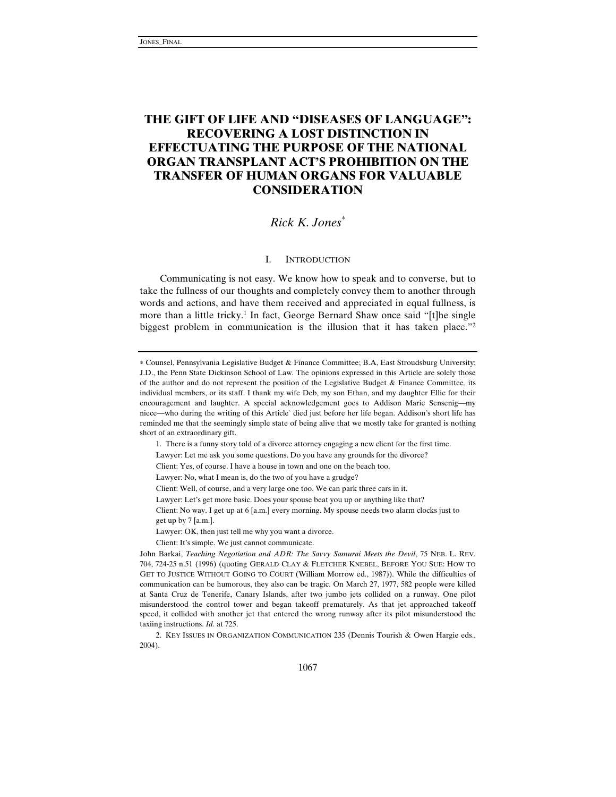# **THE GIFT OF LIFE AND "DISEASES OF LANGUAGE": RECOVERING A LOST DISTINCTION IN EFFECTUATING THE PURPOSE OF THE NATIONAL ORGAN TRANSPLANT ACT'S PROHIBITION ON THE TRANSFER OF HUMAN ORGANS FOR VALUABLE CONSIDERATION**

# *Rick K. Jones*<sup>∗</sup>

# I. INTRODUCTION

Communicating is not easy. We know how to speak and to converse, but to take the fullness of our thoughts and completely convey them to another through words and actions, and have them received and appreciated in equal fullness, is more than a little tricky.<sup>1</sup> In fact, George Bernard Shaw once said "[t]he single biggest problem in communication is the illusion that it has taken place."2

<sup>∗</sup> Counsel, Pennsylvania Legislative Budget & Finance Committee; B.A, East Stroudsburg University; J.D., the Penn State Dickinson School of Law. The opinions expressed in this Article are solely those of the author and do not represent the position of the Legislative Budget & Finance Committee, its individual members, or its staff. I thank my wife Deb, my son Ethan, and my daughter Ellie for their encouragement and laughter. A special acknowledgement goes to Addison Marie Sensenig—my niece—who during the writing of this Article` died just before her life began. Addison's short life has reminded me that the seemingly simple state of being alive that we mostly take for granted is nothing short of an extraordinary gift.

<sup>1.</sup> There is a funny story told of a divorce attorney engaging a new client for the first time.

Lawyer: Let me ask you some questions. Do you have any grounds for the divorce?

Client: Yes, of course. I have a house in town and one on the beach too.

Lawyer: No, what I mean is, do the two of you have a grudge?

Client: Well, of course, and a very large one too. We can park three cars in it.

Lawyer: Let's get more basic. Does your spouse beat you up or anything like that?

Client: No way. I get up at 6 [a.m.] every morning. My spouse needs two alarm clocks just to get up by  $7$  [a.m.].

Lawyer: OK, then just tell me why you want a divorce.

Client: It's simple. We just cannot communicate.

John Barkai, *Teaching Negotiation and ADR: The Savvy Samurai Meets the Devil*, 75 NEB. L. REV. 704, 724-25 n.51 (1996) (quoting GERALD CLAY & FLETCHER KNEBEL, BEFORE YOU SUE: HOW TO GET TO JUSTICE WITHOUT GOING TO COURT (William Morrow ed., 1987)). While the difficulties of communication can be humorous, they also can be tragic. On March 27, 1977, 582 people were killed at Santa Cruz de Tenerife, Canary Islands, after two jumbo jets collided on a runway. One pilot misunderstood the control tower and began takeoff prematurely. As that jet approached takeoff speed, it collided with another jet that entered the wrong runway after its pilot misunderstood the taxiing instructions. *Id.* at 725.

<sup>2.</sup> KEY ISSUES IN ORGANIZATION COMMUNICATION 235 (Dennis Tourish & Owen Hargie eds., 2004).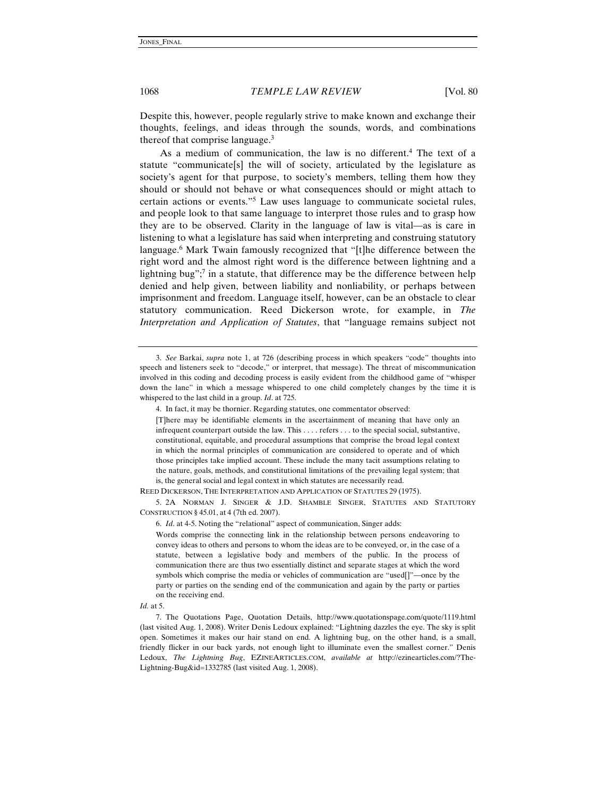Despite this, however, people regularly strive to make known and exchange their thoughts, feelings, and ideas through the sounds, words, and combinations thereof that comprise language.3

As a medium of communication, the law is no different.<sup>4</sup> The text of a statute "communicate[s] the will of society, articulated by the legislature as society's agent for that purpose, to society's members, telling them how they should or should not behave or what consequences should or might attach to certain actions or events."5 Law uses language to communicate societal rules, and people look to that same language to interpret those rules and to grasp how they are to be observed. Clarity in the language of law is vital—as is care in listening to what a legislature has said when interpreting and construing statutory language.<sup>6</sup> Mark Twain famously recognized that "[t]he difference between the right word and the almost right word is the difference between lightning and a lightning bug";<sup>7</sup> in a statute, that difference may be the difference between help denied and help given, between liability and nonliability, or perhaps between imprisonment and freedom. Language itself, however, can be an obstacle to clear statutory communication. Reed Dickerson wrote, for example, in *The Interpretation and Application of Statutes*, that "language remains subject not

REED DICKERSON, THE INTERPRETATION AND APPLICATION OF STATUTES 29 (1975).

5. 2A NORMAN J. SINGER & J.D. SHAMBLE SINGER, STATUTES AND STATUTORY CONSTRUCTION § 45.01, at 4 (7th ed. 2007).

6. *Id*. at 4-5. Noting the "relational" aspect of communication, Singer adds:

Words comprise the connecting link in the relationship between persons endeavoring to convey ideas to others and persons to whom the ideas are to be conveyed, or, in the case of a statute, between a legislative body and members of the public. In the process of communication there are thus two essentially distinct and separate stages at which the word symbols which comprise the media or vehicles of communication are "used[]"—once by the party or parties on the sending end of the communication and again by the party or parties on the receiving end.

#### *Id.* at 5.

7. The Quotations Page, Quotation Details, http://www.quotationspage.com/quote/1119.html (last visited Aug. 1, 2008). Writer Denis Ledoux explained: "Lightning dazzles the eye. The sky is split open. Sometimes it makes our hair stand on end. A lightning bug, on the other hand, is a small, friendly flicker in our back yards, not enough light to illuminate even the smallest corner." Denis Ledoux, *The Lightning Bug*, EZINEARTICLES.COM, *available at* http://ezinearticles.com/?The-Lightning-Bug&id=1332785 (last visited Aug. 1, 2008).

<sup>3.</sup> *See* Barkai, *supra* note 1, at 726 (describing process in which speakers "code" thoughts into speech and listeners seek to "decode," or interpret, that message). The threat of miscommunication involved in this coding and decoding process is easily evident from the childhood game of "whisper down the lane" in which a message whispered to one child completely changes by the time it is whispered to the last child in a group. *Id*. at 725.

<sup>4.</sup> In fact, it may be thornier. Regarding statutes, one commentator observed:

<sup>[</sup>T]here may be identifiable elements in the ascertainment of meaning that have only an infrequent counterpart outside the law. This . . . . refers . . . to the special social, substantive, constitutional, equitable, and procedural assumptions that comprise the broad legal context in which the normal principles of communication are considered to operate and of which those principles take implied account. These include the many tacit assumptions relating to the nature, goals, methods, and constitutional limitations of the prevailing legal system; that is, the general social and legal context in which statutes are necessarily read.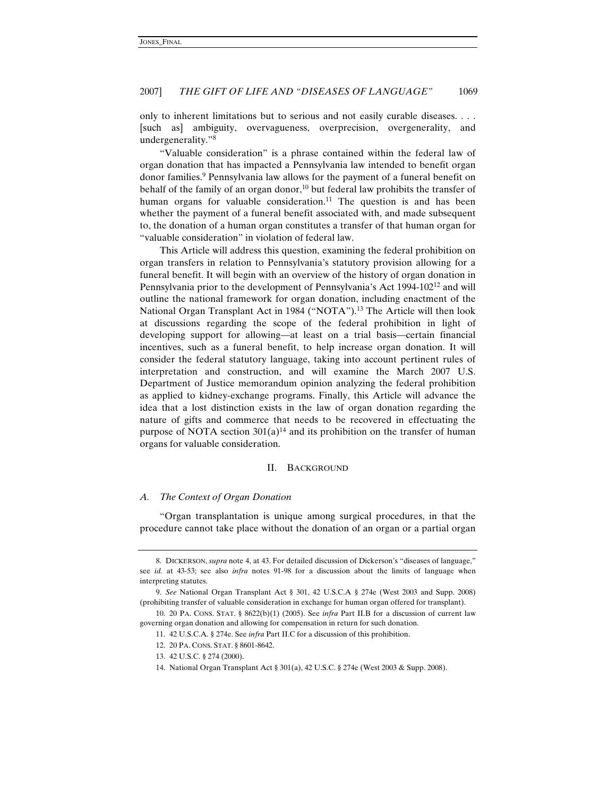only to inherent limitations but to serious and not easily curable diseases. . . . [such as] ambiguity, overvagueness, overprecision, overgenerality, and undergenerality."8

"Valuable consideration" is a phrase contained within the federal law of organ donation that has impacted a Pennsylvania law intended to benefit organ donor families.9 Pennsylvania law allows for the payment of a funeral benefit on behalf of the family of an organ donor, $10$  but federal law prohibits the transfer of human organs for valuable consideration.<sup>11</sup> The question is and has been whether the payment of a funeral benefit associated with, and made subsequent to, the donation of a human organ constitutes a transfer of that human organ for "valuable consideration" in violation of federal law.

This Article will address this question, examining the federal prohibition on organ transfers in relation to Pennsylvania's statutory provision allowing for a funeral benefit. It will begin with an overview of the history of organ donation in Pennsylvania prior to the development of Pennsylvania's Act 1994-10212 and will outline the national framework for organ donation, including enactment of the National Organ Transplant Act in 1984 ("NOTA").<sup>13</sup> The Article will then look at discussions regarding the scope of the federal prohibition in light of developing support for allowing—at least on a trial basis—certain financial incentives, such as a funeral benefit, to help increase organ donation. It will consider the federal statutory language, taking into account pertinent rules of interpretation and construction, and will examine the March 2007 U.S. Department of Justice memorandum opinion analyzing the federal prohibition as applied to kidney-exchange programs. Finally, this Article will advance the idea that a lost distinction exists in the law of organ donation regarding the nature of gifts and commerce that needs to be recovered in effectuating the purpose of NOTA section  $301(a)^{14}$  and its prohibition on the transfer of human organs for valuable consideration.

#### II. BACKGROUND

#### *A. The Context of Organ Donation*

"Organ transplantation is unique among surgical procedures, in that the procedure cannot take place without the donation of an organ or a partial organ

<sup>8.</sup> DICKERSON, *supra* note 4, at 43. For detailed discussion of Dickerson's "diseases of language," see *id.* at 43-53; see also *infra* notes 91-98 for a discussion about the limits of language when interpreting statutes.

<sup>9.</sup> *See* National Organ Transplant Act § 301, 42 U.S.C.A § 274e (West 2003 and Supp. 2008) (prohibiting transfer of valuable consideration in exchange for human organ offered for transplant).

<sup>10. 20</sup> PA. CONS. STAT. § 8622(b)(1) (2005). See *infra* Part II.B for a discussion of current law governing organ donation and allowing for compensation in return for such donation.

<sup>11. 42</sup> U.S.C.A. § 274e. See *infra* Part II.C for a discussion of this prohibition.

<sup>12. 20</sup> PA. CONS. STAT. § 8601-8642.

<sup>13. 42</sup> U.S.C. § 274 (2000).

<sup>14.</sup> National Organ Transplant Act § 301(a), 42 U.S.C. § 274e (West 2003 & Supp. 2008).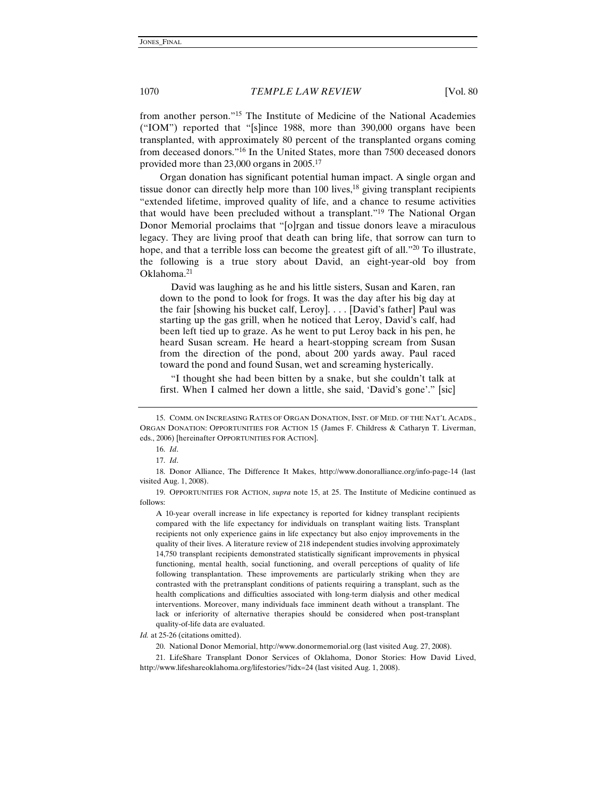from another person."15 The Institute of Medicine of the National Academies ("IOM") reported that "[s]ince 1988, more than 390,000 organs have been transplanted, with approximately 80 percent of the transplanted organs coming from deceased donors."16 In the United States, more than 7500 deceased donors provided more than 23,000 organs in 2005.17

Organ donation has significant potential human impact. A single organ and tissue donor can directly help more than  $100$  lives,<sup>18</sup> giving transplant recipients "extended lifetime, improved quality of life, and a chance to resume activities that would have been precluded without a transplant."19 The National Organ Donor Memorial proclaims that "[o]rgan and tissue donors leave a miraculous legacy. They are living proof that death can bring life, that sorrow can turn to hope, and that a terrible loss can become the greatest gift of all."<sup>20</sup> To illustrate, the following is a true story about David, an eight-year-old boy from Oklahoma.21

 David was laughing as he and his little sisters, Susan and Karen, ran down to the pond to look for frogs. It was the day after his big day at the fair [showing his bucket calf, Leroy]. . . . [David's father] Paul was starting up the gas grill, when he noticed that Leroy, David's calf, had been left tied up to graze. As he went to put Leroy back in his pen, he heard Susan scream. He heard a heart-stopping scream from Susan from the direction of the pond, about 200 yards away. Paul raced toward the pond and found Susan, wet and screaming hysterically.

 "I thought she had been bitten by a snake, but she couldn't talk at first. When I calmed her down a little, she said, 'David's gone'." [sic]

19. OPPORTUNITIES FOR ACTION, *supra* note 15, at 25. The Institute of Medicine continued as follows:

A 10-year overall increase in life expectancy is reported for kidney transplant recipients compared with the life expectancy for individuals on transplant waiting lists. Transplant recipients not only experience gains in life expectancy but also enjoy improvements in the quality of their lives. A literature review of 218 independent studies involving approximately 14,750 transplant recipients demonstrated statistically significant improvements in physical functioning, mental health, social functioning, and overall perceptions of quality of life following transplantation. These improvements are particularly striking when they are contrasted with the pretransplant conditions of patients requiring a transplant, such as the health complications and difficulties associated with long-term dialysis and other medical interventions. Moreover, many individuals face imminent death without a transplant. The lack or inferiority of alternative therapies should be considered when post-transplant quality-of-life data are evaluated.

*Id.* at 25-26 (citations omitted).

20. National Donor Memorial, http://www.donormemorial.org (last visited Aug. 27, 2008).

<sup>15.</sup> COMM. ON INCREASING RATES OF ORGAN DONATION, INST. OF MED. OF THE NAT'L ACADS., ORGAN DONATION: OPPORTUNITIES FOR ACTION 15 (James F. Childress & Catharyn T. Liverman, eds., 2006) [hereinafter OPPORTUNITIES FOR ACTION].

<sup>16.</sup> *Id*.

<sup>17.</sup> *Id*.

<sup>18.</sup> Donor Alliance, The Difference It Makes, http://www.donoralliance.org/info-page-14 (last visited Aug. 1, 2008).

<sup>21.</sup> LifeShare Transplant Donor Services of Oklahoma, Donor Stories: How David Lived, http://www.lifeshareoklahoma.org/lifestories/?idx=24 (last visited Aug. 1, 2008).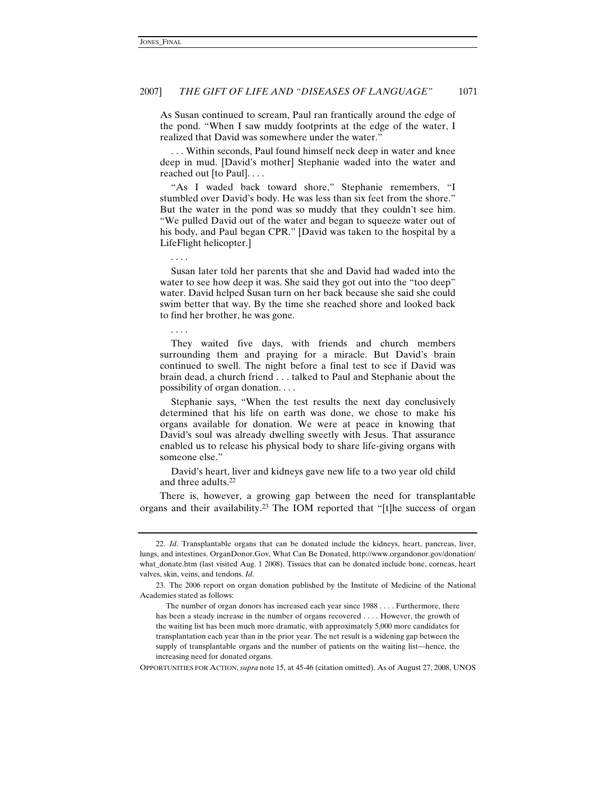As Susan continued to scream, Paul ran frantically around the edge of the pond. "When I saw muddy footprints at the edge of the water, I realized that David was somewhere under the water."

 . . . Within seconds, Paul found himself neck deep in water and knee deep in mud. [David's mother] Stephanie waded into the water and reached out [to Paul]. . . .

 "As I waded back toward shore," Stephanie remembers, "I stumbled over David's body. He was less than six feet from the shore." But the water in the pond was so muddy that they couldn't see him. "We pulled David out of the water and began to squeeze water out of his body, and Paul began CPR." [David was taken to the hospital by a LifeFlight helicopter.]

. . . .

 Susan later told her parents that she and David had waded into the water to see how deep it was. She said they got out into the "too deep" water. David helped Susan turn on her back because she said she could swim better that way. By the time she reached shore and looked back to find her brother, he was gone.

. . . .

 They waited five days, with friends and church members surrounding them and praying for a miracle. But David's brain continued to swell. The night before a final test to see if David was brain dead, a church friend . . . talked to Paul and Stephanie about the possibility of organ donation. . . .

 Stephanie says, "When the test results the next day conclusively determined that his life on earth was done, we chose to make his organs available for donation. We were at peace in knowing that David's soul was already dwelling sweetly with Jesus. That assurance enabled us to release his physical body to share life-giving organs with someone else."

 David's heart, liver and kidneys gave new life to a two year old child and three adults.22

There is, however, a growing gap between the need for transplantable organs and their availability.23 The IOM reported that "[t]he success of organ

OPPORTUNITIES FOR ACTION, *supra* note 15, at 45-46 (citation omitted). As of August 27, 2008, UNOS

<sup>22.</sup> *Id*. Transplantable organs that can be donated include the kidneys, heart, pancreas, liver, lungs, and intestines. OrganDonor.Gov, What Can Be Donated, http://www.organdonor.gov/donation/ what\_donate.htm (last visited Aug. 1 2008). Tissues that can be donated include bone, corneas, heart valves, skin, veins, and tendons. *Id*.

<sup>23.</sup> The 2006 report on organ donation published by the Institute of Medicine of the National Academies stated as follows:

The number of organ donors has increased each year since 1988 . . . . Furthermore, there has been a steady increase in the number of organs recovered . . . . However, the growth of the waiting list has been much more dramatic, with approximately 5,000 more candidates for transplantation each year than in the prior year. The net result is a widening gap between the supply of transplantable organs and the number of patients on the waiting list—hence, the increasing need for donated organs.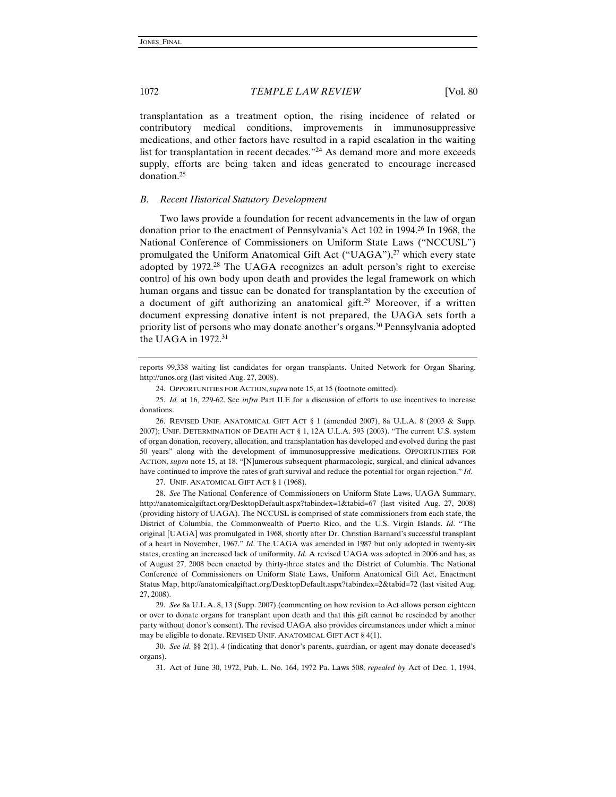transplantation as a treatment option, the rising incidence of related or contributory medical conditions, improvements in immunosuppressive medications, and other factors have resulted in a rapid escalation in the waiting list for transplantation in recent decades."<sup>24</sup> As demand more and more exceeds supply, efforts are being taken and ideas generated to encourage increased donation.25

## *B. Recent Historical Statutory Development*

Two laws provide a foundation for recent advancements in the law of organ donation prior to the enactment of Pennsylvania's Act 102 in 1994.26 In 1968, the National Conference of Commissioners on Uniform State Laws ("NCCUSL") promulgated the Uniform Anatomical Gift Act ("UAGA"), $^{27}$  which every state adopted by 1972.28 The UAGA recognizes an adult person's right to exercise control of his own body upon death and provides the legal framework on which human organs and tissue can be donated for transplantation by the execution of a document of gift authorizing an anatomical gift.29 Moreover, if a written document expressing donative intent is not prepared, the UAGA sets forth a priority list of persons who may donate another's organs.<sup>30</sup> Pennsylvania adopted the UAGA in  $1972.^{31}$ 

24. OPPORTUNITIES FOR ACTION, *supra* note 15, at 15 (footnote omitted).

25. *Id.* at 16, 229-62. See *infra* Part II.E for a discussion of efforts to use incentives to increase donations.

26. REVISED UNIF. ANATOMICAL GIFT ACT § 1 (amended 2007), 8a U.L.A. 8 (2003 & Supp. 2007); UNIF. DETERMINATION OF DEATH ACT § 1, 12A U.L.A. 593 (2003). "The current U.S. system of organ donation, recovery, allocation, and transplantation has developed and evolved during the past 50 years" along with the development of immunosuppressive medications. OPPORTUNITIES FOR ACTION, *supra* note 15, at 18. "[N]umerous subsequent pharmacologic, surgical, and clinical advances have continued to improve the rates of graft survival and reduce the potential for organ rejection." *Id*.

27. UNIF. ANATOMICAL GIFT ACT § 1 (1968).

28. *See* The National Conference of Commissioners on Uniform State Laws, UAGA Summary, http://anatomicalgiftact.org/DesktopDefault.aspx?tabindex=1&tabid=67 (last visited Aug. 27, 2008) (providing history of UAGA). The NCCUSL is comprised of state commissioners from each state, the District of Columbia, the Commonwealth of Puerto Rico, and the U.S. Virgin Islands. *Id*. "The original [UAGA] was promulgated in 1968, shortly after Dr. Christian Barnard's successful transplant of a heart in November, 1967." *Id*. The UAGA was amended in 1987 but only adopted in twenty-six states, creating an increased lack of uniformity. *Id*. A revised UAGA was adopted in 2006 and has, as of August 27, 2008 been enacted by thirty-three states and the District of Columbia. The National Conference of Commissioners on Uniform State Laws, Uniform Anatomical Gift Act, Enactment Status Map, http://anatomicalgiftact.org/DesktopDefault.aspx?tabindex=2&tabid=72 (last visited Aug. 27, 2008).

29. *See* 8a U.L.A. 8, 13 (Supp. 2007) (commenting on how revision to Act allows person eighteen or over to donate organs for transplant upon death and that this gift cannot be rescinded by another party without donor's consent). The revised UAGA also provides circumstances under which a minor may be eligible to donate. REVISED UNIF. ANATOMICAL GIFT ACT § 4(1).

30. *See id.* §§ 2(1), 4 (indicating that donor's parents, guardian, or agent may donate deceased's organs).

31. Act of June 30, 1972, Pub. L. No. 164, 1972 Pa. Laws 508, *repealed by* Act of Dec. 1, 1994,

reports 99,338 waiting list candidates for organ transplants. United Network for Organ Sharing, http://unos.org (last visited Aug. 27, 2008).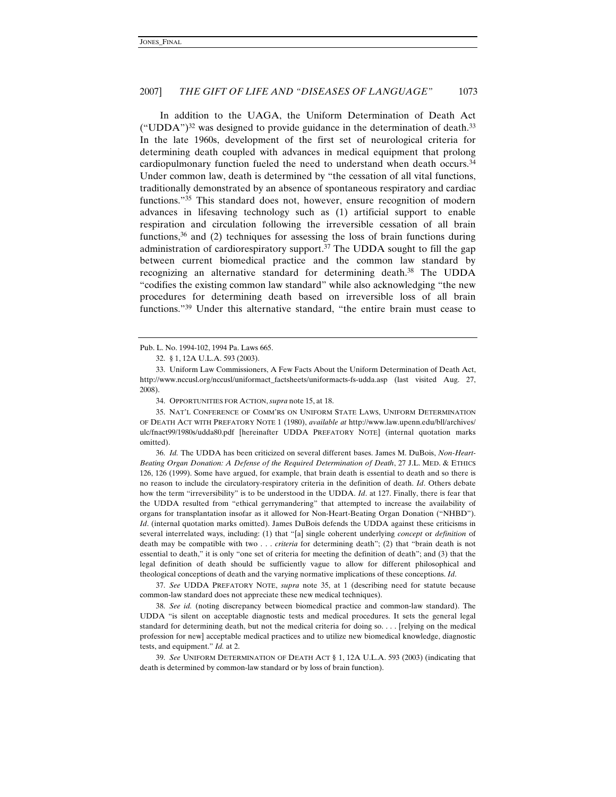In addition to the UAGA, the Uniform Determination of Death Act  $("UDDA")<sup>32</sup>$  was designed to provide guidance in the determination of death.<sup>33</sup> In the late 1960s, development of the first set of neurological criteria for determining death coupled with advances in medical equipment that prolong cardiopulmonary function fueled the need to understand when death occurs.34 Under common law, death is determined by "the cessation of all vital functions, traditionally demonstrated by an absence of spontaneous respiratory and cardiac functions."35 This standard does not, however, ensure recognition of modern advances in lifesaving technology such as (1) artificial support to enable respiration and circulation following the irreversible cessation of all brain functions,  $36$  and (2) techniques for assessing the loss of brain functions during administration of cardiorespiratory support. $37$  The UDDA sought to fill the gap between current biomedical practice and the common law standard by recognizing an alternative standard for determining death.<sup>38</sup> The UDDA "codifies the existing common law standard" while also acknowledging "the new procedures for determining death based on irreversible loss of all brain functions."39 Under this alternative standard, "the entire brain must cease to

34. OPPORTUNITIES FOR ACTION, *supra* note 15, at 18.

35. NAT'L CONFERENCE OF COMM'RS ON UNIFORM STATE LAWS, UNIFORM DETERMINATION OF DEATH ACT WITH PREFATORY NOTE 1 (1980), *available at* http://www.law.upenn.edu/bll/archives/ ulc/fnact99/1980s/udda80.pdf [hereinafter UDDA PREFATORY NOTE] (internal quotation marks omitted).

36. *Id.* The UDDA has been criticized on several different bases. James M. DuBois, *Non-Heart-Beating Organ Donation: A Defense of the Required Determination of Death*, 27 J.L. MED. & ETHICS 126, 126 (1999). Some have argued, for example, that brain death is essential to death and so there is no reason to include the circulatory-respiratory criteria in the definition of death. *Id*. Others debate how the term "irreversibility" is to be understood in the UDDA. *Id*. at 127. Finally, there is fear that the UDDA resulted from "ethical gerrymandering" that attempted to increase the availability of organs for transplantation insofar as it allowed for Non-Heart-Beating Organ Donation ("NHBD"). *Id*. (internal quotation marks omitted). James DuBois defends the UDDA against these criticisms in several interrelated ways, including: (1) that "[a] single coherent underlying *concept* or *definition* of death may be compatible with two . . . *criteria* for determining death"; (2) that "brain death is not essential to death," it is only "one set of criteria for meeting the definition of death"; and (3) that the legal definition of death should be sufficiently vague to allow for different philosophical and theological conceptions of death and the varying normative implications of these conceptions. *Id*.

37. *See* UDDA PREFATORY NOTE, *supra* note 35, at 1 (describing need for statute because common-law standard does not appreciate these new medical techniques).

38. *See id.* (noting discrepancy between biomedical practice and common-law standard). The UDDA "is silent on acceptable diagnostic tests and medical procedures. It sets the general legal standard for determining death, but not the medical criteria for doing so. . . . [relying on the medical profession for new] acceptable medical practices and to utilize new biomedical knowledge, diagnostic tests, and equipment." *Id.* at 2.

39. *See* UNIFORM DETERMINATION OF DEATH ACT § 1, 12A U.L.A. 593 (2003) (indicating that death is determined by common-law standard or by loss of brain function).

Pub. L. No. 1994-102, 1994 Pa. Laws 665.

<sup>32. § 1, 12</sup>A U.L.A. 593 (2003).

<sup>33.</sup> Uniform Law Commissioners, A Few Facts About the Uniform Determination of Death Act, http://www.nccusl.org/nccusl/uniformact\_factsheets/uniformacts-fs-udda.asp (last visited Aug. 27, 2008).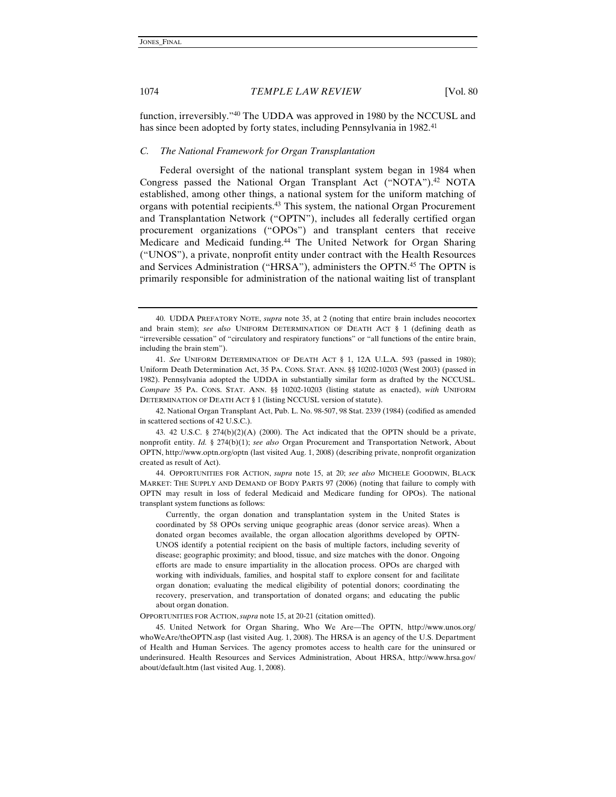function, irreversibly."40 The UDDA was approved in 1980 by the NCCUSL and has since been adopted by forty states, including Pennsylvania in 1982.<sup>41</sup>

#### *C. The National Framework for Organ Transplantation*

Federal oversight of the national transplant system began in 1984 when Congress passed the National Organ Transplant Act ("NOTA").<sup>42</sup> NOTA established, among other things, a national system for the uniform matching of organs with potential recipients.43 This system, the national Organ Procurement and Transplantation Network ("OPTN"), includes all federally certified organ procurement organizations ("OPOs") and transplant centers that receive Medicare and Medicaid funding.44 The United Network for Organ Sharing ("UNOS"), a private, nonprofit entity under contract with the Health Resources and Services Administration ("HRSA"), administers the OPTN.45 The OPTN is primarily responsible for administration of the national waiting list of transplant

42. National Organ Transplant Act, Pub. L. No. 98-507, 98 Stat. 2339 (1984) (codified as amended in scattered sections of 42 U.S.C.).

43. 42 U.S.C. § 274 $(b)(2)(A)$  (2000). The Act indicated that the OPTN should be a private, nonprofit entity. *Id.* § 274(b)(1); *see also* Organ Procurement and Transportation Network, About OPTN, http://www.optn.org/optn (last visited Aug. 1, 2008) (describing private, nonprofit organization created as result of Act).

44. OPPORTUNITIES FOR ACTION, *supra* note 15, at 20; *see also* MICHELE GOODWIN, BLACK MARKET: THE SUPPLY AND DEMAND OF BODY PARTS 97 (2006) (noting that failure to comply with OPTN may result in loss of federal Medicaid and Medicare funding for OPOs). The national transplant system functions as follows:

 Currently, the organ donation and transplantation system in the United States is coordinated by 58 OPOs serving unique geographic areas (donor service areas). When a donated organ becomes available, the organ allocation algorithms developed by OPTN-UNOS identify a potential recipient on the basis of multiple factors, including severity of disease; geographic proximity; and blood, tissue, and size matches with the donor. Ongoing efforts are made to ensure impartiality in the allocation process. OPOs are charged with working with individuals, families, and hospital staff to explore consent for and facilitate organ donation; evaluating the medical eligibility of potential donors; coordinating the recovery, preservation, and transportation of donated organs; and educating the public about organ donation.

OPPORTUNITIES FOR ACTION, *supra* note 15, at 20-21 (citation omitted).

45. United Network for Organ Sharing, Who We Are—The OPTN, http://www.unos.org/ whoWeAre/theOPTN.asp (last visited Aug. 1, 2008). The HRSA is an agency of the U.S. Department of Health and Human Services. The agency promotes access to health care for the uninsured or underinsured. Health Resources and Services Administration, About HRSA, http://www.hrsa.gov/ about/default.htm (last visited Aug. 1, 2008).

<sup>40.</sup> UDDA PREFATORY NOTE, *supra* note 35, at 2 (noting that entire brain includes neocortex and brain stem); *see also* UNIFORM DETERMINATION OF DEATH ACT § 1 (defining death as "irreversible cessation" of "circulatory and respiratory functions" or "all functions of the entire brain, including the brain stem").

<sup>41.</sup> *See* UNIFORM DETERMINATION OF DEATH ACT § 1, 12A U.L.A. 593 (passed in 1980); Uniform Death Determination Act, 35 PA. CONS. STAT. ANN. §§ 10202-10203 (West 2003) (passed in 1982). Pennsylvania adopted the UDDA in substantially similar form as drafted by the NCCUSL. *Compare* 35 PA. CONS. STAT. ANN. §§ 10202-10203 (listing statute as enacted), *with* UNIFORM DETERMINATION OF DEATH ACT § 1 (listing NCCUSL version of statute).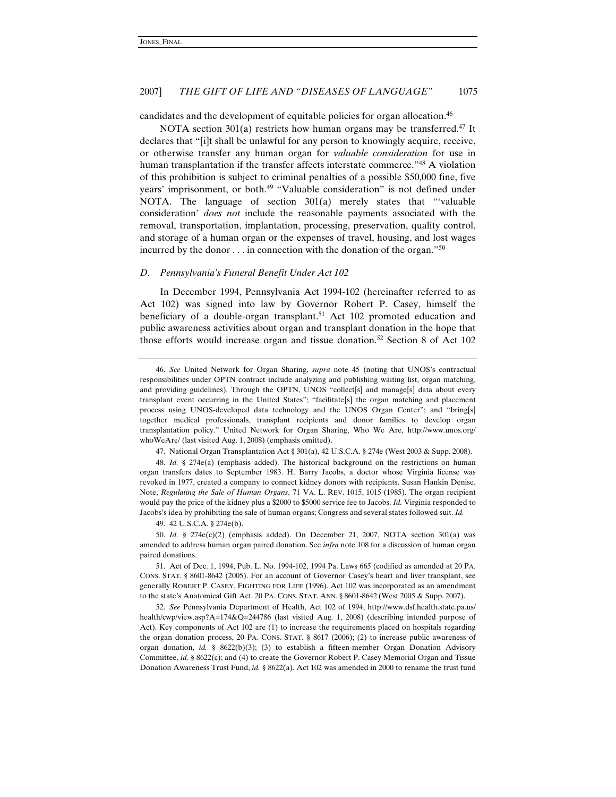candidates and the development of equitable policies for organ allocation.46

NOTA section  $301(a)$  restricts how human organs may be transferred.<sup>47</sup> It declares that "[i]t shall be unlawful for any person to knowingly acquire, receive, or otherwise transfer any human organ for *valuable consideration* for use in human transplantation if the transfer affects interstate commerce."48 A violation of this prohibition is subject to criminal penalties of a possible \$50,000 fine, five years' imprisonment, or both.<sup>49</sup> "Valuable consideration" is not defined under NOTA. The language of section 301(a) merely states that "'valuable consideration' *does not* include the reasonable payments associated with the removal, transportation, implantation, processing, preservation, quality control, and storage of a human organ or the expenses of travel, housing, and lost wages incurred by the donor . . . in connection with the donation of the organ."50

#### *D. Pennsylvania's Funeral Benefit Under Act 102*

In December 1994, Pennsylvania Act 1994-102 (hereinafter referred to as Act 102) was signed into law by Governor Robert P. Casey, himself the beneficiary of a double-organ transplant.<sup>51</sup> Act 102 promoted education and public awareness activities about organ and transplant donation in the hope that those efforts would increase organ and tissue donation.<sup>52</sup> Section 8 of Act 102

47. National Organ Transplantation Act § 301(a), 42 U.S.C.A. § 274e (West 2003 & Supp. 2008).

48. *Id.* § 274e(a) (emphasis added). The historical background on the restrictions on human organ transfers dates to September 1983. H. Barry Jacobs, a doctor whose Virginia license was revoked in 1977, created a company to connect kidney donors with recipients. Susan Hankin Denise, Note, *Regulating the Sale of Human Organs*, 71 VA. L. REV. 1015, 1015 (1985). The organ recipient would pay the price of the kidney plus a \$2000 to \$5000 service fee to Jacobs. *Id.* Virginia responded to Jacobs's idea by prohibiting the sale of human organs; Congress and several states followed suit. *Id.*

49. 42 U.S.C.A. § 274e(b).

50. *Id.* § 274e(c)(2) (emphasis added). On December 21, 2007, NOTA section 301(a) was amended to address human organ paired donation. See *infra* note 108 for a discussion of human organ paired donations.

51. Act of Dec. 1, 1994, Pub. L. No. 1994-102, 1994 Pa. Laws 665 (codified as amended at 20 PA. CONS. STAT. § 8601-8642 (2005). For an account of Governor Casey's heart and liver transplant, see generally ROBERT P. CASEY, FIGHTING FOR LIFE (1996). Act 102 was incorporated as an amendment to the state's Anatomical Gift Act. 20 PA. CONS. STAT. ANN. § 8601-8642 (West 2005 & Supp. 2007).

52. *See* Pennsylvania Department of Health, Act 102 of 1994, http://www.dsf.health.state.pa.us/ health/cwp/view.asp?A=174&Q=244786 (last visited Aug. 1, 2008) (describing intended purpose of Act). Key components of Act 102 are (1) to increase the requirements placed on hospitals regarding the organ donation process, 20 PA. CONS. STAT. § 8617 (2006); (2) to increase public awareness of organ donation, *id.* § 8622(b)(3); (3) to establish a fifteen-member Organ Donation Advisory Committee, *id.* § 8622(c); and (4) to create the Governor Robert P. Casey Memorial Organ and Tissue Donation Awareness Trust Fund, *id.* § 8622(a). Act 102 was amended in 2000 to rename the trust fund

<sup>46.</sup> *See* United Network for Organ Sharing, *supra* note 45 (noting that UNOS's contractual responsibilities under OPTN contract include analyzing and publishing waiting list, organ matching, and providing guidelines). Through the OPTN, UNOS "collect[s] and manage[s] data about every transplant event occurring in the United States"; "facilitate[s] the organ matching and placement process using UNOS-developed data technology and the UNOS Organ Center"; and "bring[s] together medical professionals, transplant recipients and donor families to develop organ transplantation policy." United Network for Organ Sharing, Who We Are, http://www.unos.org/ whoWeAre/ (last visited Aug. 1, 2008) (emphasis omitted).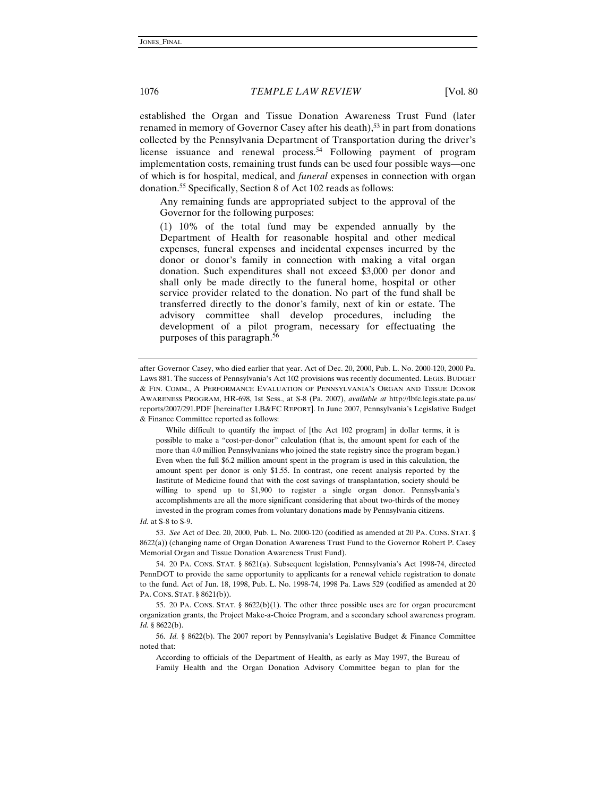established the Organ and Tissue Donation Awareness Trust Fund (later renamed in memory of Governor Casey after his death), $53$  in part from donations collected by the Pennsylvania Department of Transportation during the driver's license issuance and renewal process.<sup>54</sup> Following payment of program implementation costs, remaining trust funds can be used four possible ways—one of which is for hospital, medical, and *funeral* expenses in connection with organ donation.55 Specifically, Section 8 of Act 102 reads as follows:

Any remaining funds are appropriated subject to the approval of the Governor for the following purposes:

(1) 10% of the total fund may be expended annually by the Department of Health for reasonable hospital and other medical expenses, funeral expenses and incidental expenses incurred by the donor or donor's family in connection with making a vital organ donation. Such expenditures shall not exceed \$3,000 per donor and shall only be made directly to the funeral home, hospital or other service provider related to the donation. No part of the fund shall be transferred directly to the donor's family, next of kin or estate. The advisory committee shall develop procedures, including the development of a pilot program, necessary for effectuating the purposes of this paragraph.56

 While difficult to quantify the impact of [the Act 102 program] in dollar terms, it is possible to make a "cost-per-donor" calculation (that is, the amount spent for each of the more than 4.0 million Pennsylvanians who joined the state registry since the program began.) Even when the full \$6.2 million amount spent in the program is used in this calculation, the amount spent per donor is only \$1.55. In contrast, one recent analysis reported by the Institute of Medicine found that with the cost savings of transplantation, society should be willing to spend up to \$1,900 to register a single organ donor. Pennsylvania's accomplishments are all the more significant considering that about two-thirds of the money invested in the program comes from voluntary donations made by Pennsylvania citizens.

*Id.* at S-8 to S-9.

53. *See* Act of Dec. 20, 2000, Pub. L. No. 2000-120 (codified as amended at 20 PA. CONS. STAT. § 8622(a)) (changing name of Organ Donation Awareness Trust Fund to the Governor Robert P. Casey Memorial Organ and Tissue Donation Awareness Trust Fund).

54. 20 PA. CONS. STAT. § 8621(a). Subsequent legislation, Pennsylvania's Act 1998-74, directed PennDOT to provide the same opportunity to applicants for a renewal vehicle registration to donate to the fund. Act of Jun. 18, 1998, Pub. L. No. 1998-74, 1998 Pa. Laws 529 (codified as amended at 20 PA. CONS. STAT. § 8621(b)).

55. 20 PA. CONS. STAT. § 8622(b)(1). The other three possible uses are for organ procurement organization grants, the Project Make-a-Choice Program, and a secondary school awareness program. *Id.* § 8622(b).

56. *Id.* § 8622(b). The 2007 report by Pennsylvania's Legislative Budget & Finance Committee noted that:

According to officials of the Department of Health, as early as May 1997, the Bureau of Family Health and the Organ Donation Advisory Committee began to plan for the

after Governor Casey, who died earlier that year. Act of Dec. 20, 2000, Pub. L. No. 2000-120, 2000 Pa. Laws 881. The success of Pennsylvania's Act 102 provisions was recently documented. LEGIS. BUDGET & FIN. COMM., A PERFORMANCE EVALUATION OF PENNSYLVANIA'S ORGAN AND TISSUE DONOR AWARENESS PROGRAM, HR-698, 1st Sess., at S-8 (Pa. 2007), *available at* http://lbfc.legis.state.pa.us/ reports/2007/291.PDF [hereinafter LB&FC REPORT]. In June 2007, Pennsylvania's Legislative Budget & Finance Committee reported as follows: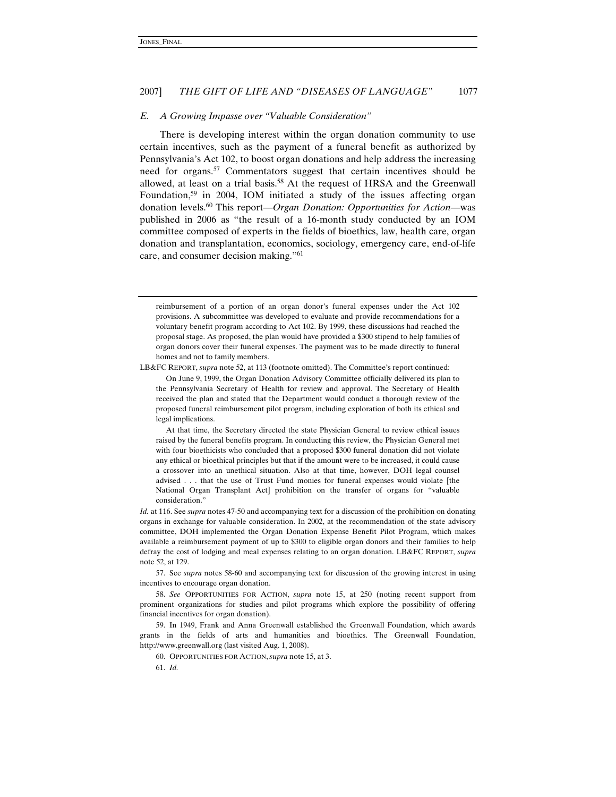#### *E. A Growing Impasse over "Valuable Consideration"*

There is developing interest within the organ donation community to use certain incentives, such as the payment of a funeral benefit as authorized by Pennsylvania's Act 102, to boost organ donations and help address the increasing need for organs.57 Commentators suggest that certain incentives should be allowed, at least on a trial basis.58 At the request of HRSA and the Greenwall Foundation,<sup>59</sup> in 2004, IOM initiated a study of the issues affecting organ donation levels.60 This report—*Organ Donation: Opportunities for Action*—was published in 2006 as "the result of a 16-month study conducted by an IOM committee composed of experts in the fields of bioethics, law, health care, organ donation and transplantation, economics, sociology, emergency care, end-of-life care, and consumer decision making."61

LB&FC REPORT, *supra* note 52, at 113 (footnote omitted). The Committee's report continued:

 On June 9, 1999, the Organ Donation Advisory Committee officially delivered its plan to the Pennsylvania Secretary of Health for review and approval. The Secretary of Health received the plan and stated that the Department would conduct a thorough review of the proposed funeral reimbursement pilot program, including exploration of both its ethical and legal implications.

 At that time, the Secretary directed the state Physician General to review ethical issues raised by the funeral benefits program. In conducting this review, the Physician General met with four bioethicists who concluded that a proposed \$300 funeral donation did not violate any ethical or bioethical principles but that if the amount were to be increased, it could cause a crossover into an unethical situation. Also at that time, however, DOH legal counsel advised . . . that the use of Trust Fund monies for funeral expenses would violate [the National Organ Transplant Act] prohibition on the transfer of organs for "valuable consideration."

*Id.* at 116. See *supra* notes 47-50 and accompanying text for a discussion of the prohibition on donating organs in exchange for valuable consideration. In 2002, at the recommendation of the state advisory committee, DOH implemented the Organ Donation Expense Benefit Pilot Program, which makes available a reimbursement payment of up to \$300 to eligible organ donors and their families to help defray the cost of lodging and meal expenses relating to an organ donation. LB&FC REPORT, *supra* note 52, at 129.

57. See *supra* notes 58-60 and accompanying text for discussion of the growing interest in using incentives to encourage organ donation.

58. *See* OPPORTUNITIES FOR ACTION, *supra* note 15, at 250 (noting recent support from prominent organizations for studies and pilot programs which explore the possibility of offering financial incentives for organ donation).

59. In 1949, Frank and Anna Greenwall established the Greenwall Foundation, which awards grants in the fields of arts and humanities and bioethics. The Greenwall Foundation, http://www.greenwall.org (last visited Aug. 1, 2008).

60. OPPORTUNITIES FOR ACTION, *supra* note 15, at 3.

61. *Id.*

reimbursement of a portion of an organ donor's funeral expenses under the Act 102 provisions. A subcommittee was developed to evaluate and provide recommendations for a voluntary benefit program according to Act 102. By 1999, these discussions had reached the proposal stage. As proposed, the plan would have provided a \$300 stipend to help families of organ donors cover their funeral expenses. The payment was to be made directly to funeral homes and not to family members.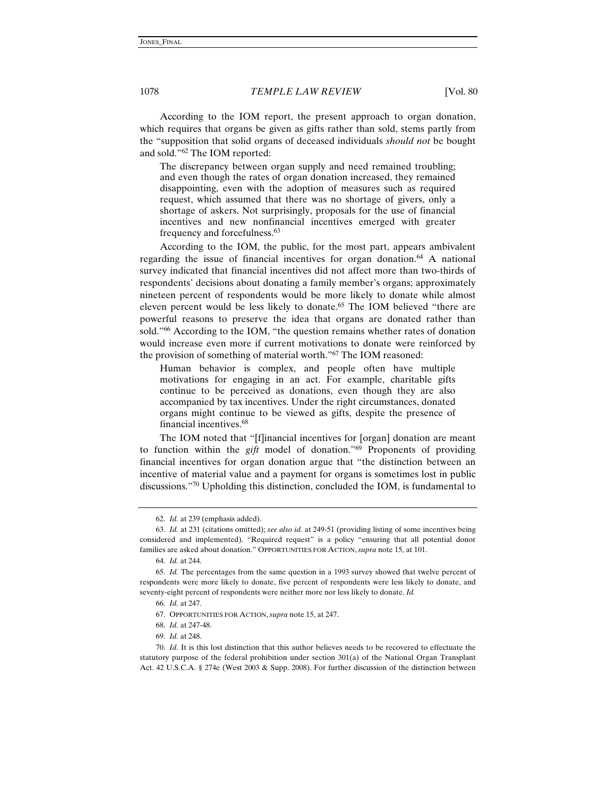According to the IOM report, the present approach to organ donation, which requires that organs be given as gifts rather than sold, stems partly from the "supposition that solid organs of deceased individuals *should not* be bought and sold."62 The IOM reported:

The discrepancy between organ supply and need remained troubling; and even though the rates of organ donation increased, they remained disappointing, even with the adoption of measures such as required request, which assumed that there was no shortage of givers, only a shortage of askers. Not surprisingly, proposals for the use of financial incentives and new nonfinancial incentives emerged with greater frequency and forcefulness.63

According to the IOM, the public, for the most part, appears ambivalent regarding the issue of financial incentives for organ donation.<sup>64</sup> A national survey indicated that financial incentives did not affect more than two-thirds of respondents' decisions about donating a family member's organs; approximately nineteen percent of respondents would be more likely to donate while almost eleven percent would be less likely to donate.<sup>65</sup> The IOM believed "there are powerful reasons to preserve the idea that organs are donated rather than sold."66 According to the IOM, "the question remains whether rates of donation would increase even more if current motivations to donate were reinforced by the provision of something of material worth."67 The IOM reasoned:

Human behavior is complex, and people often have multiple motivations for engaging in an act. For example, charitable gifts continue to be perceived as donations, even though they are also accompanied by tax incentives. Under the right circumstances, donated organs might continue to be viewed as gifts, despite the presence of financial incentives.68

The IOM noted that "[f]inancial incentives for [organ] donation are meant to function within the *gift* model of donation."69 Proponents of providing financial incentives for organ donation argue that "the distinction between an incentive of material value and a payment for organs is sometimes lost in public discussions."70 Upholding this distinction, concluded the IOM, is fundamental to

<sup>62.</sup> *Id.* at 239 (emphasis added).

<sup>63.</sup> *Id.* at 231 (citations omitted); *see also id.* at 249-51 (providing listing of some incentives being considered and implemented). "Required request" is a policy "ensuring that all potential donor families are asked about donation." OPPORTUNITIES FOR ACTION, *supra* note 15, at 101.

<sup>64.</sup> *Id.* at 244.

<sup>65.</sup> *Id.* The percentages from the same question in a 1993 survey showed that twelve percent of respondents were more likely to donate, five percent of respondents were less likely to donate, and seventy-eight percent of respondents were neither more nor less likely to donate. *Id.*

<sup>66.</sup> *Id.* at 247.

<sup>67.</sup> OPPORTUNITIES FOR ACTION, *supra* note 15, at 247.

<sup>68.</sup> *Id.* at 247-48.

<sup>69.</sup> *Id.* at 248.

<sup>70.</sup> *Id.* It is this lost distinction that this author believes needs to be recovered to effectuate the statutory purpose of the federal prohibition under section 301(a) of the National Organ Transplant Act. 42 U.S.C.A. § 274e (West 2003 & Supp. 2008). For further discussion of the distinction between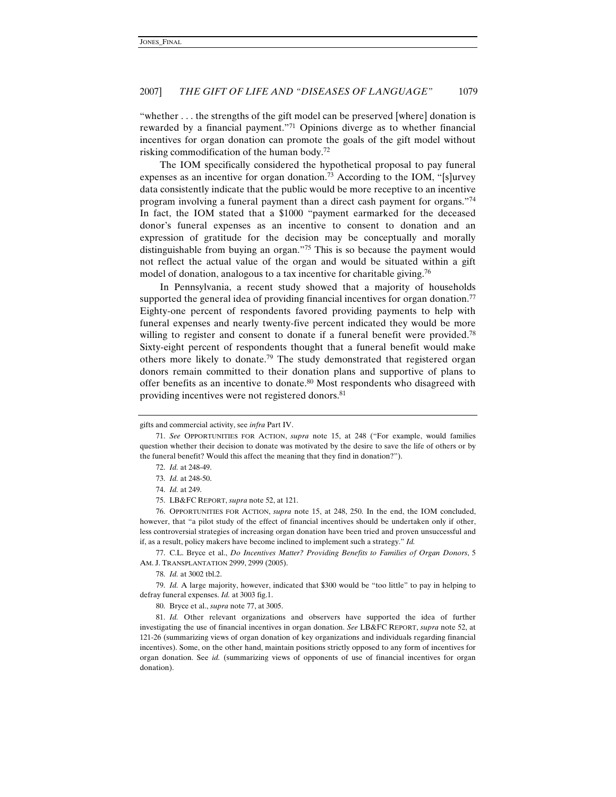"whether . . . the strengths of the gift model can be preserved [where] donation is rewarded by a financial payment."71 Opinions diverge as to whether financial incentives for organ donation can promote the goals of the gift model without risking commodification of the human body.72

The IOM specifically considered the hypothetical proposal to pay funeral expenses as an incentive for organ donation.<sup>73</sup> According to the IOM, "[s]urvey data consistently indicate that the public would be more receptive to an incentive program involving a funeral payment than a direct cash payment for organs."74 In fact, the IOM stated that a \$1000 "payment earmarked for the deceased donor's funeral expenses as an incentive to consent to donation and an expression of gratitude for the decision may be conceptually and morally distinguishable from buying an organ."75 This is so because the payment would not reflect the actual value of the organ and would be situated within a gift model of donation, analogous to a tax incentive for charitable giving.<sup>76</sup>

In Pennsylvania, a recent study showed that a majority of households supported the general idea of providing financial incentives for organ donation.<sup>77</sup> Eighty-one percent of respondents favored providing payments to help with funeral expenses and nearly twenty-five percent indicated they would be more willing to register and consent to donate if a funeral benefit were provided.<sup>78</sup> Sixty-eight percent of respondents thought that a funeral benefit would make others more likely to donate.<sup>79</sup> The study demonstrated that registered organ donors remain committed to their donation plans and supportive of plans to offer benefits as an incentive to donate.80 Most respondents who disagreed with providing incentives were not registered donors.<sup>81</sup>

76. OPPORTUNITIES FOR ACTION, *supra* note 15, at 248, 250. In the end, the IOM concluded, however, that "a pilot study of the effect of financial incentives should be undertaken only if other, less controversial strategies of increasing organ donation have been tried and proven unsuccessful and if, as a result, policy makers have become inclined to implement such a strategy." *Id.*

77. C.L. Bryce et al., *Do Incentives Matter? Providing Benefits to Families of Organ Donors*, 5 AM. J. TRANSPLANTATION 2999, 2999 (2005).

78. *Id.* at 3002 tbl.2.

79. *Id.* A large majority, however, indicated that \$300 would be "too little" to pay in helping to defray funeral expenses. *Id.* at 3003 fig.1.

80. Bryce et al., *supra* note 77, at 3005.

81. *Id.* Other relevant organizations and observers have supported the idea of further investigating the use of financial incentives in organ donation. *See* LB&FC REPORT, *supra* note 52, at 121-26 (summarizing views of organ donation of key organizations and individuals regarding financial incentives). Some, on the other hand, maintain positions strictly opposed to any form of incentives for organ donation. See *id.* (summarizing views of opponents of use of financial incentives for organ donation).

gifts and commercial activity, see *infra* Part IV.

<sup>71.</sup> *See* OPPORTUNITIES FOR ACTION, *supra* note 15, at 248 ("For example, would families question whether their decision to donate was motivated by the desire to save the life of others or by the funeral benefit? Would this affect the meaning that they find in donation?").

<sup>72.</sup> *Id.* at 248-49.

<sup>73.</sup> *Id.* at 248-50.

<sup>74.</sup> *Id.* at 249.

<sup>75.</sup> LB&FC REPORT, *supra* note 52, at 121.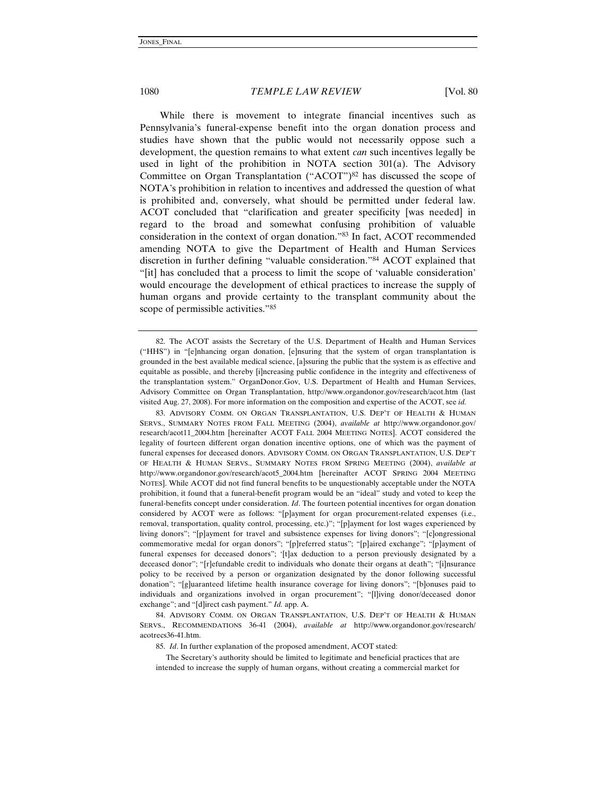While there is movement to integrate financial incentives such as Pennsylvania's funeral-expense benefit into the organ donation process and studies have shown that the public would not necessarily oppose such a development, the question remains to what extent *can* such incentives legally be used in light of the prohibition in NOTA section  $301(a)$ . The Advisory Committee on Organ Transplantation ("ACOT")<sup>82</sup> has discussed the scope of NOTA's prohibition in relation to incentives and addressed the question of what is prohibited and, conversely, what should be permitted under federal law. ACOT concluded that "clarification and greater specificity [was needed] in regard to the broad and somewhat confusing prohibition of valuable consideration in the context of organ donation."83 In fact, ACOT recommended amending NOTA to give the Department of Health and Human Services discretion in further defining "valuable consideration."84 ACOT explained that "[it] has concluded that a process to limit the scope of 'valuable consideration' would encourage the development of ethical practices to increase the supply of human organs and provide certainty to the transplant community about the scope of permissible activities."85

83. ADVISORY COMM. ON ORGAN TRANSPLANTATION, U.S. DEP'T OF HEALTH & HUMAN SERVS., SUMMARY NOTES FROM FALL MEETING (2004), *available at* http://www.organdonor.gov/ research/acot11\_2004.htm [hereinafter ACOT FALL 2004 MEETING NOTES]. ACOT considered the legality of fourteen different organ donation incentive options, one of which was the payment of funeral expenses for deceased donors. ADVISORY COMM. ON ORGAN TRANSPLANTATION, U.S. DEP'T OF HEALTH & HUMAN SERVS., SUMMARY NOTES FROM SPRING MEETING (2004), *available at*  http://www.organdonor.gov/research/acot5\_2004.htm [hereinafter ACOT SPRING 2004 MEETING NOTES]. While ACOT did not find funeral benefits to be unquestionably acceptable under the NOTA prohibition, it found that a funeral-benefit program would be an "ideal" study and voted to keep the funeral-benefits concept under consideration. *Id*. The fourteen potential incentives for organ donation considered by ACOT were as follows: "[p]ayment for organ procurement-related expenses (i.e., removal, transportation, quality control, processing, etc.)"; "[p]ayment for lost wages experienced by living donors"; "[p]ayment for travel and subsistence expenses for living donors"; "[c]ongressional commemorative medal for organ donors"; "[p]referred status"; "[p]aired exchange"; "[p]ayment of funeral expenses for deceased donors"; '[t]ax deduction to a person previously designated by a deceased donor"; "[r]efundable credit to individuals who donate their organs at death"; "[i]nsurance policy to be received by a person or organization designated by the donor following successful donation"; "[g]uaranteed lifetime health insurance coverage for living donors"; "[b]onuses paid to individuals and organizations involved in organ procurement"; "[l]iving donor/deceased donor exchange"; and "[d]irect cash payment." *Id.* app. A.

84. ADVISORY COMM. ON ORGAN TRANSPLANTATION, U.S. DEP'T OF HEALTH & HUMAN SERVS., RECOMMENDATIONS 36-41 (2004), *available at* http://www.organdonor.gov/research/ acotrecs36-41.htm.

85. *Id*. In further explanation of the proposed amendment, ACOT stated:

 The Secretary's authority should be limited to legitimate and beneficial practices that are intended to increase the supply of human organs, without creating a commercial market for

<sup>82.</sup> The ACOT assists the Secretary of the U.S. Department of Health and Human Services ("HHS") in "[e]nhancing organ donation, [e]nsuring that the system of organ transplantation is grounded in the best available medical science, [a]ssuring the public that the system is as effective and equitable as possible, and thereby [i]ncreasing public confidence in the integrity and effectiveness of the transplantation system." OrganDonor.Gov, U.S. Department of Health and Human Services, Advisory Committee on Organ Transplantation, http://www.organdonor.gov/research/acot.htm (last visited Aug. 27, 2008). For more information on the composition and expertise of the ACOT, see *id.*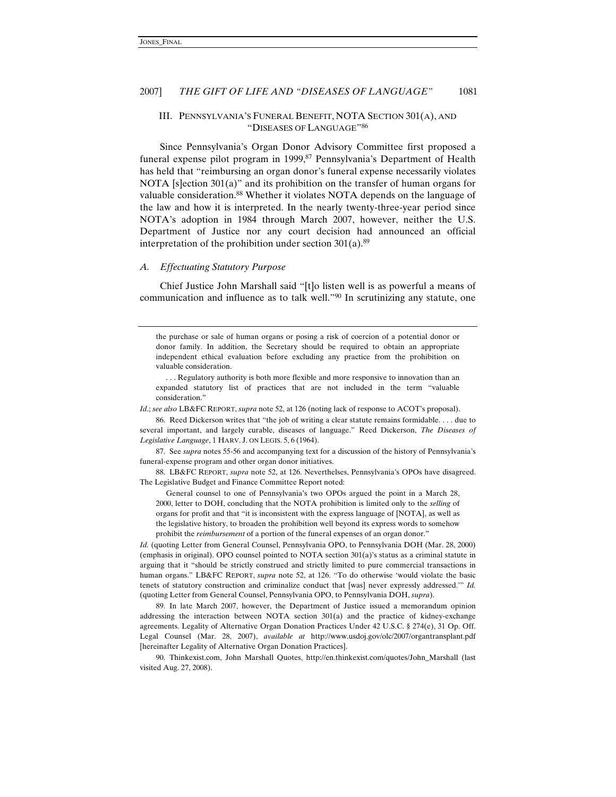# III. PENNSYLVANIA'S FUNERAL BENEFIT, NOTA SECTION 301(A), AND "DISEASES OF LANGUAGE"86

Since Pennsylvania's Organ Donor Advisory Committee first proposed a funeral expense pilot program in 1999,<sup>87</sup> Pennsylvania's Department of Health has held that "reimbursing an organ donor's funeral expense necessarily violates NOTA [s]ection 301(a)" and its prohibition on the transfer of human organs for valuable consideration.<sup>88</sup> Whether it violates NOTA depends on the language of the law and how it is interpreted. In the nearly twenty-three-year period since NOTA's adoption in 1984 through March 2007, however, neither the U.S. Department of Justice nor any court decision had announced an official interpretation of the prohibition under section  $301(a)$ .<sup>89</sup>

#### *A. Effectuating Statutory Purpose*

Chief Justice John Marshall said "[t]o listen well is as powerful a means of communication and influence as to talk well."90 In scrutinizing any statute, one

the purchase or sale of human organs or posing a risk of coercion of a potential donor or donor family. In addition, the Secretary should be required to obtain an appropriate independent ethical evaluation before excluding any practice from the prohibition on valuable consideration.

 . . . Regulatory authority is both more flexible and more responsive to innovation than an expanded statutory list of practices that are not included in the term "valuable consideration."

*Id*.; *see also* LB&FC REPORT, *supra* note 52, at 126 (noting lack of response to ACOT's proposal).

86. Reed Dickerson writes that "the job of writing a clear statute remains formidable. . . . due to several important, and largely curable, diseases of language." Reed Dickerson, *The Diseases of Legislative Language*, 1 HARV. J. ON LEGIS. 5, 6 (1964).

87. See *supra* notes 55-56 and accompanying text for a discussion of the history of Pennsylvania's funeral-expense program and other organ donor initiatives.

88. LB&FC REPORT, *supra* note 52, at 126. Neverthelses, Pennsylvania's OPOs have disagreed. The Legislative Budget and Finance Committee Report noted:

 General counsel to one of Pennsylvania's two OPOs argued the point in a March 28, 2000, letter to DOH, concluding that the NOTA prohibition is limited only to the *selling* of organs for profit and that "it is inconsistent with the express language of [NOTA], as well as the legislative history, to broaden the prohibition well beyond its express words to somehow prohibit the *reimbursement* of a portion of the funeral expenses of an organ donor."

*Id.* (quoting Letter from General Counsel, Pennsylvania OPO, to Pennsylvania DOH (Mar. 28, 2000) (emphasis in original). OPO counsel pointed to NOTA section 301(a)'s status as a criminal statute in arguing that it "should be strictly construed and strictly limited to pure commercial transactions in human organs." LB&FC REPORT, *supra* note 52, at 126. "To do otherwise 'would violate the basic tenets of statutory construction and criminalize conduct that [was] never expressly addressed.'" *Id.*  (quoting Letter from General Counsel, Pennsylvania OPO, to Pennsylvania DOH, *supra*).

89. In late March 2007, however, the Department of Justice issued a memorandum opinion addressing the interaction between NOTA section 301(a) and the practice of kidney-exchange agreements. Legality of Alternative Organ Donation Practices Under 42 U.S.C. § 274(e), 31 Op. Off. Legal Counsel (Mar. 28, 2007), *available at* http://www.usdoj.gov/olc/2007/organtransplant.pdf [hereinafter Legality of Alternative Organ Donation Practices].

90. Thinkexist.com, John Marshall Quotes, http://en.thinkexist.com/quotes/John\_Marshall (last visited Aug. 27, 2008).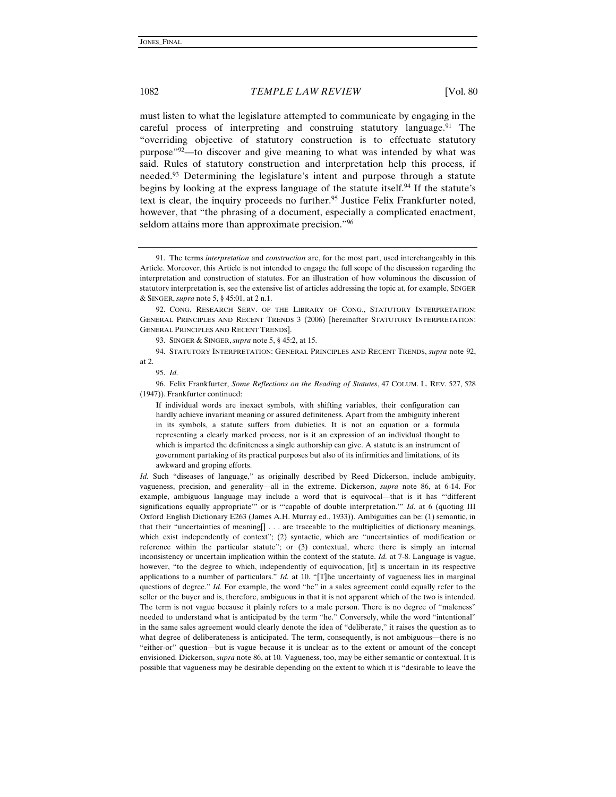must listen to what the legislature attempted to communicate by engaging in the careful process of interpreting and construing statutory language.<sup>91</sup> The "overriding objective of statutory construction is to effectuate statutory purpose"92—to discover and give meaning to what was intended by what was said. Rules of statutory construction and interpretation help this process, if needed.93 Determining the legislature's intent and purpose through a statute begins by looking at the express language of the statute itself.94 If the statute's text is clear, the inquiry proceeds no further.<sup>95</sup> Justice Felix Frankfurter noted, however, that "the phrasing of a document, especially a complicated enactment, seldom attains more than approximate precision."<sup>96</sup>

92. CONG. RESEARCH SERV. OF THE LIBRARY OF CONG., STATUTORY INTERPRETATION: GENERAL PRINCIPLES AND RECENT TRENDS 3 (2006) [hereinafter STATUTORY INTERPRETATION: GENERAL PRINCIPLES AND RECENT TRENDS].

93. SINGER & SINGER, *supra* note 5, § 45:2, at 15.

94. STATUTORY INTERPRETATION: GENERAL PRINCIPLES AND RECENT TRENDS, *supra* note 92, at 2.

96. Felix Frankfurter, *Some Reflections on the Reading of Statutes*, 47 COLUM. L. REV. 527, 528 (1947)). Frankfurter continued:

If individual words are inexact symbols, with shifting variables, their configuration can hardly achieve invariant meaning or assured definiteness. Apart from the ambiguity inherent in its symbols, a statute suffers from dubieties. It is not an equation or a formula representing a clearly marked process, nor is it an expression of an individual thought to which is imparted the definiteness a single authorship can give. A statute is an instrument of government partaking of its practical purposes but also of its infirmities and limitations, of its awkward and groping efforts.

*Id.* Such "diseases of language," as originally described by Reed Dickerson, include ambiguity, vagueness, precision, and generality—all in the extreme. Dickerson, *supra* note 86, at 6-14. For example, ambiguous language may include a word that is equivocal—that is it has "'different significations equally appropriate'" or is "'capable of double interpretation.'" *Id*. at 6 (quoting III Oxford English Dictionary E263 (James A.H. Murray ed., 1933)). Ambiguities can be: (1) semantic, in that their "uncertainties of meaning[] . . . are traceable to the multiplicities of dictionary meanings, which exist independently of context"; (2) syntactic, which are "uncertainties of modification or reference within the particular statute"; or (3) contextual, where there is simply an internal inconsistency or uncertain implication within the context of the statute. *Id.* at 7-8. Language is vague, however, "to the degree to which, independently of equivocation, [it] is uncertain in its respective applications to a number of particulars." *Id.* at 10. "[T]he uncertainty of vagueness lies in marginal questions of degree." *Id.* For example, the word "he" in a sales agreement could equally refer to the seller or the buyer and is, therefore, ambiguous in that it is not apparent which of the two is intended. The term is not vague because it plainly refers to a male person. There is no degree of "maleness" needed to understand what is anticipated by the term "he." Conversely, while the word "intentional" in the same sales agreement would clearly denote the idea of "deliberate," it raises the question as to what degree of deliberateness is anticipated. The term, consequently, is not ambiguous—there is no "either-or" question—but is vague because it is unclear as to the extent or amount of the concept envisioned. Dickerson, *supra* note 86, at 10*.* Vagueness, too, may be either semantic or contextual. It is possible that vagueness may be desirable depending on the extent to which it is "desirable to leave the

<sup>91.</sup> The terms *interpretation* and *construction* are, for the most part, used interchangeably in this Article. Moreover, this Article is not intended to engage the full scope of the discussion regarding the interpretation and construction of statutes. For an illustration of how voluminous the discussion of statutory interpretation is, see the extensive list of articles addressing the topic at, for example, SINGER & SINGER, *supra* note 5, § 45:01, at 2 n.1.

<sup>95.</sup> *Id.*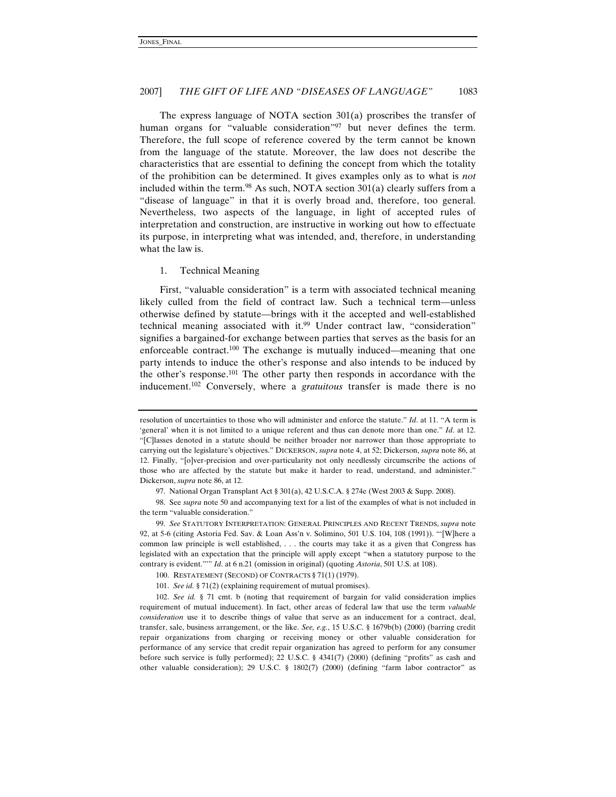The express language of NOTA section 301(a) proscribes the transfer of human organs for "valuable consideration"<sup>97</sup> but never defines the term. Therefore, the full scope of reference covered by the term cannot be known from the language of the statute. Moreover, the law does not describe the characteristics that are essential to defining the concept from which the totality of the prohibition can be determined. It gives examples only as to what is *not* included within the term.<sup>98</sup> As such, NOTA section  $301(a)$  clearly suffers from a "disease of language" in that it is overly broad and, therefore, too general. Nevertheless, two aspects of the language, in light of accepted rules of interpretation and construction, are instructive in working out how to effectuate its purpose, in interpreting what was intended, and, therefore, in understanding what the law is.

#### 1. Technical Meaning

First, "valuable consideration" is a term with associated technical meaning likely culled from the field of contract law. Such a technical term—unless otherwise defined by statute—brings with it the accepted and well-established technical meaning associated with it.<sup>99</sup> Under contract law, "consideration" signifies a bargained-for exchange between parties that serves as the basis for an enforceable contract.<sup>100</sup> The exchange is mutually induced—meaning that one party intends to induce the other's response and also intends to be induced by the other's response.101 The other party then responds in accordance with the inducement.102 Conversely, where a *gratuitous* transfer is made there is no

resolution of uncertainties to those who will administer and enforce the statute." *Id*. at 11. "A term is 'general' when it is not limited to a unique referent and thus can denote more than one." *Id*. at 12. "[C]lasses denoted in a statute should be neither broader nor narrower than those appropriate to carrying out the legislature's objectives." DICKERSON, *supra* note 4, at 52; Dickerson, *supra* note 86, at 12. Finally, "[o]ver-precision and over-particularity not only needlessly circumscribe the actions of those who are affected by the statute but make it harder to read, understand, and administer." Dickerson, *supra* note 86, at 12.

<sup>97.</sup> National Organ Transplant Act § 301(a), 42 U.S.C.A. § 274e (West 2003 & Supp. 2008).

<sup>98.</sup> See *supra* note 50 and accompanying text for a list of the examples of what is not included in the term "valuable consideration."

<sup>99.</sup> *See* STATUTORY INTERPRETATION: GENERAL PRINCIPLES AND RECENT TRENDS, *supra* note 92, at 5-6 (citing Astoria Fed. Sav. & Loan Ass'n v. Solimino, 501 U.S. 104, 108 (1991)). "'[W]here a common law principle is well established, . . . the courts may take it as a given that Congress has legislated with an expectation that the principle will apply except "when a statutory purpose to the contrary is evident."'" *Id*. at 6 n.21 (omission in original) (quoting *Astoria*, 501 U.S. at 108).

<sup>100.</sup> RESTATEMENT (SECOND) OF CONTRACTS § 71(1) (1979).

<sup>101.</sup> *See id.* § 71(2) (explaining requirement of mutual promises).

<sup>102.</sup> *See id.* § 71 cmt. b (noting that requirement of bargain for valid consideration implies requirement of mutual inducement). In fact, other areas of federal law that use the term *valuable consideration* use it to describe things of value that serve as an inducement for a contract, deal, transfer, sale, business arrangement, or the like. *See, e.g.*, 15 U.S.C. § 1679b(b) (2000) (barring credit repair organizations from charging or receiving money or other valuable consideration for performance of any service that credit repair organization has agreed to perform for any consumer before such service is fully performed); 22 U.S.C. § 4341(7) (2000) (defining "profits" as cash and other valuable consideration); 29 U.S.C. § 1802(7) (2000) (defining "farm labor contractor" as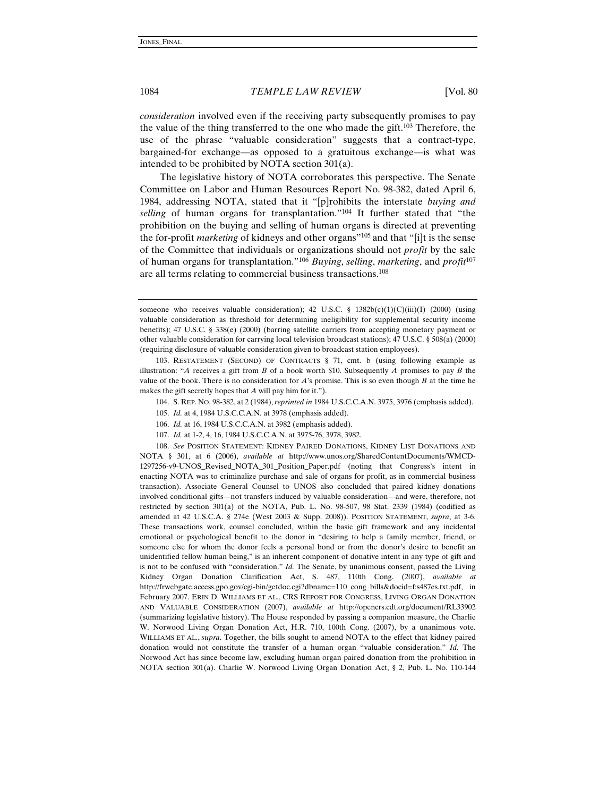*consideration* involved even if the receiving party subsequently promises to pay the value of the thing transferred to the one who made the gift.103 Therefore, the use of the phrase "valuable consideration" suggests that a contract-type, bargained-for exchange—as opposed to a gratuitous exchange—is what was intended to be prohibited by NOTA section 301(a).

The legislative history of NOTA corroborates this perspective. The Senate Committee on Labor and Human Resources Report No. 98-382, dated April 6, 1984, addressing NOTA, stated that it "[p]rohibits the interstate *buying and selling* of human organs for transplantation."104 It further stated that "the prohibition on the buying and selling of human organs is directed at preventing the for-profit *marketing* of kidneys and other organs"105 and that "[i]t is the sense of the Committee that individuals or organizations should not *profit* by the sale of human organs for transplantation."106 *Buying*, *selling*, *marketing*, and *profit*<sup>107</sup> are all terms relating to commercial business transactions.108

103. RESTATEMENT (SECOND) OF CONTRACTS § 71, cmt. b (using following example as illustration: "*A* receives a gift from *B* of a book worth \$10. Subsequently *A* promises to pay *B* the value of the book. There is no consideration for *A*'s promise. This is so even though *B* at the time he makes the gift secretly hopes that *A* will pay him for it.").

- 104. S. REP. NO. 98-382, at 2 (1984),*reprinted in* 1984 U.S.C.C.A.N. 3975, 3976 (emphasis added).
- 105. *Id.* at 4, 1984 U.S.C.C.A.N. at 3978 (emphasis added).
- 106. *Id.* at 16, 1984 U.S.C.C.A.N. at 3982 (emphasis added).
- 107. *Id.* at 1-2, 4, 16, 1984 U.S.C.C.A.N. at 3975-76, 3978, 3982.

108. *See* POSITION STATEMENT: KIDNEY PAIRED DONATIONS, KIDNEY LIST DONATIONS AND NOTA § 301, at 6 (2006), *available at* http://www.unos.org/SharedContentDocuments/WMCD-1297256-v9-UNOS\_Revised\_NOTA\_301\_Position\_Paper.pdf (noting that Congress's intent in enacting NOTA was to criminalize purchase and sale of organs for profit, as in commercial business transaction). Associate General Counsel to UNOS also concluded that paired kidney donations involved conditional gifts—not transfers induced by valuable consideration—and were, therefore, not restricted by section 301(a) of the NOTA, Pub. L. No. 98-507, 98 Stat. 2339 (1984) (codified as amended at 42 U.S.C.A. § 274e (West 2003 & Supp. 2008)). POSITION STATEMENT, *supra*, at 3-6. These transactions work, counsel concluded, within the basic gift framework and any incidental emotional or psychological benefit to the donor in "desiring to help a family member, friend, or someone else for whom the donor feels a personal bond or from the donor's desire to benefit an unidentified fellow human being," is an inherent component of donative intent in any type of gift and is not to be confused with "consideration." *Id.* The Senate, by unanimous consent, passed the Living Kidney Organ Donation Clarification Act, S. 487, 110th Cong. (2007), *available at* http://frwebgate.access.gpo.gov/cgi-bin/getdoc.cgi?dbname=110\_cong\_bills&docid=f:s487es.txt.pdf, in February 2007. ERIN D. WILLIAMS ET AL., CRS REPORT FOR CONGRESS, LIVING ORGAN DONATION AND VALUABLE CONSIDERATION (2007), *available at* http://opencrs.cdt.org/document/RL33902 (summarizing legislative history). The House responded by passing a companion measure, the Charlie W. Norwood Living Organ Donation Act, H.R. 710, 100th Cong. (2007), by a unanimous vote. WILLIAMS ET AL., *supra*. Together, the bills sought to amend NOTA to the effect that kidney paired donation would not constitute the transfer of a human organ "valuable consideration." *Id.* The Norwood Act has since become law, excluding human organ paired donation from the prohibition in NOTA section 301(a). Charlie W. Norwood Living Organ Donation Act, § 2, Pub. L. No. 110-144

someone who receives valuable consideration); 42 U.S.C. § 1382b(c)(1)(C)(iii)(I) (2000) (using valuable consideration as threshold for determining ineligibility for supplemental security income benefits); 47 U.S.C. § 338(e) (2000) (barring satellite carriers from accepting monetary payment or other valuable consideration for carrying local television broadcast stations); 47 U.S.C. § 508(a) (2000) (requiring disclosure of valuable consideration given to broadcast station employees).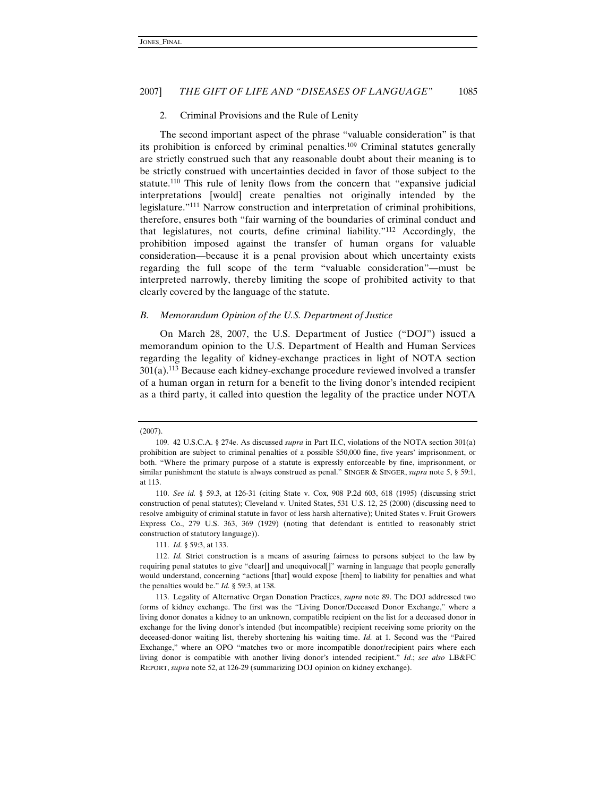#### 2. Criminal Provisions and the Rule of Lenity

The second important aspect of the phrase "valuable consideration" is that its prohibition is enforced by criminal penalties.<sup>109</sup> Criminal statutes generally are strictly construed such that any reasonable doubt about their meaning is to be strictly construed with uncertainties decided in favor of those subject to the statute.110 This rule of lenity flows from the concern that "expansive judicial interpretations [would] create penalties not originally intended by the legislature."111 Narrow construction and interpretation of criminal prohibitions, therefore, ensures both "fair warning of the boundaries of criminal conduct and that legislatures, not courts, define criminal liability."112 Accordingly, the prohibition imposed against the transfer of human organs for valuable consideration—because it is a penal provision about which uncertainty exists regarding the full scope of the term "valuable consideration"—must be interpreted narrowly, thereby limiting the scope of prohibited activity to that clearly covered by the language of the statute.

# *B. Memorandum Opinion of the U.S. Department of Justice*

On March 28, 2007, the U.S. Department of Justice ("DOJ") issued a memorandum opinion to the U.S. Department of Health and Human Services regarding the legality of kidney-exchange practices in light of NOTA section  $301(a)$ .<sup>113</sup> Because each kidney-exchange procedure reviewed involved a transfer of a human organ in return for a benefit to the living donor's intended recipient as a third party, it called into question the legality of the practice under NOTA

111. *Id.* § 59:3, at 133.

<sup>(2007).</sup> 

<sup>109. 42</sup> U.S.C.A. § 274e. As discussed *supra* in Part II.C, violations of the NOTA section 301(a) prohibition are subject to criminal penalties of a possible \$50,000 fine, five years' imprisonment, or both. "Where the primary purpose of a statute is expressly enforceable by fine, imprisonment, or similar punishment the statute is always construed as penal." SINGER & SINGER, *supra* note 5, § 59:1, at 113.

<sup>110.</sup> *See id.* § 59.3, at 126-31 (citing State v. Cox, 908 P.2d 603, 618 (1995) (discussing strict construction of penal statutes); Cleveland v. United States, 531 U.S. 12, 25 (2000) (discussing need to resolve ambiguity of criminal statute in favor of less harsh alternative); United States v. Fruit Growers Express Co., 279 U.S. 363, 369 (1929) (noting that defendant is entitled to reasonably strict construction of statutory language)).

<sup>112.</sup> *Id.* Strict construction is a means of assuring fairness to persons subject to the law by requiring penal statutes to give "clear[] and unequivocal[]" warning in language that people generally would understand, concerning "actions [that] would expose [them] to liability for penalties and what the penalties would be." *Id.* § 59:3, at 138.

<sup>113.</sup> Legality of Alternative Organ Donation Practices, *supra* note 89. The DOJ addressed two forms of kidney exchange. The first was the "Living Donor/Deceased Donor Exchange," where a living donor donates a kidney to an unknown, compatible recipient on the list for a deceased donor in exchange for the living donor's intended (but incompatible) recipient receiving some priority on the deceased-donor waiting list, thereby shortening his waiting time. *Id.* at 1. Second was the "Paired Exchange," where an OPO "matches two or more incompatible donor/recipient pairs where each living donor is compatible with another living donor's intended recipient." *Id*.; *see also* LB&FC REPORT, *supra* note 52, at 126-29 (summarizing DOJ opinion on kidney exchange).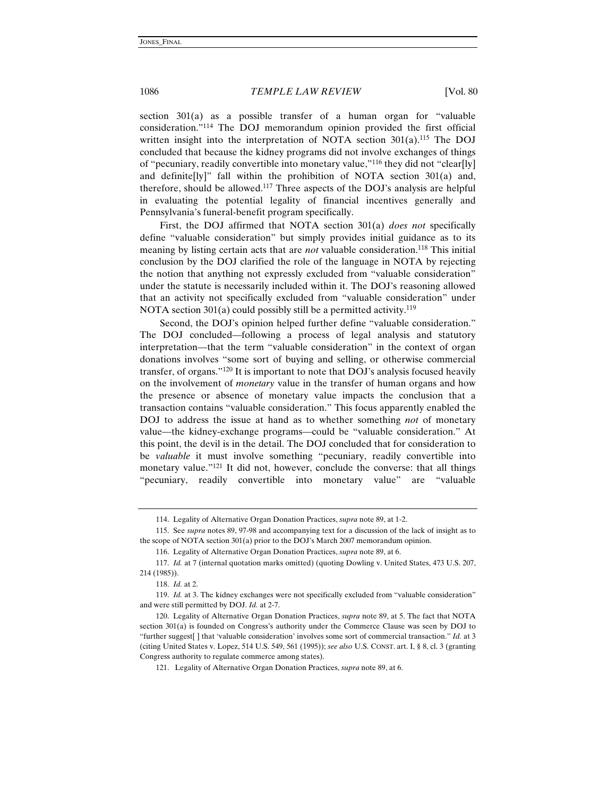section 301(a) as a possible transfer of a human organ for "valuable consideration."114 The DOJ memorandum opinion provided the first official written insight into the interpretation of NOTA section  $301(a)$ .<sup>115</sup> The DOJ concluded that because the kidney programs did not involve exchanges of things of "pecuniary, readily convertible into monetary value,"116 they did not "clear[ly] and definite[ly]" fall within the prohibition of NOTA section 301(a) and, therefore, should be allowed.117 Three aspects of the DOJ's analysis are helpful in evaluating the potential legality of financial incentives generally and Pennsylvania's funeral-benefit program specifically.

First, the DOJ affirmed that NOTA section 301(a) *does not* specifically define "valuable consideration" but simply provides initial guidance as to its meaning by listing certain acts that are *not* valuable consideration.<sup>118</sup> This initial conclusion by the DOJ clarified the role of the language in NOTA by rejecting the notion that anything not expressly excluded from "valuable consideration" under the statute is necessarily included within it. The DOJ's reasoning allowed that an activity not specifically excluded from "valuable consideration" under NOTA section 301(a) could possibly still be a permitted activity.<sup>119</sup>

Second, the DOJ's opinion helped further define "valuable consideration." The DOJ concluded—following a process of legal analysis and statutory interpretation—that the term "valuable consideration" in the context of organ donations involves "some sort of buying and selling, or otherwise commercial transfer, of organs."120 It is important to note that DOJ's analysis focused heavily on the involvement of *monetary* value in the transfer of human organs and how the presence or absence of monetary value impacts the conclusion that a transaction contains "valuable consideration." This focus apparently enabled the DOJ to address the issue at hand as to whether something *not* of monetary value—the kidney-exchange programs—could be "valuable consideration." At this point, the devil is in the detail. The DOJ concluded that for consideration to be *valuable* it must involve something "pecuniary, readily convertible into monetary value."121 It did not, however, conclude the converse: that all things "pecuniary, readily convertible into monetary value" are "valuable

<sup>114.</sup> Legality of Alternative Organ Donation Practices, *supra* note 89, at 1-2.

<sup>115.</sup> See *supra* notes 89, 97-98 and accompanying text for a discussion of the lack of insight as to the scope of NOTA section 301(a) prior to the DOJ's March 2007 memorandum opinion.

<sup>116.</sup> Legality of Alternative Organ Donation Practices, *supra* note 89, at 6.

<sup>117.</sup> *Id.* at 7 (internal quotation marks omitted) (quoting Dowling v. United States, 473 U.S. 207, 214 (1985)).

<sup>118.</sup> *Id.* at 2.

<sup>119.</sup> *Id.* at 3. The kidney exchanges were not specifically excluded from "valuable consideration" and were still permitted by DOJ. *Id.* at 2-7.

<sup>120.</sup> Legality of Alternative Organ Donation Practices, *supra* note 89, at 5. The fact that NOTA section 301(a) is founded on Congress's authority under the Commerce Clause was seen by DOJ to "further suggest[ ] that 'valuable consideration' involves some sort of commercial transaction." *Id.* at 3 (citing United States v. Lopez, 514 U.S. 549, 561 (1995)); *see also* U.S. CONST. art. I, § 8, cl. 3 (granting Congress authority to regulate commerce among states).

<sup>121.</sup> Legality of Alternative Organ Donation Practices, *supra* note 89, at 6.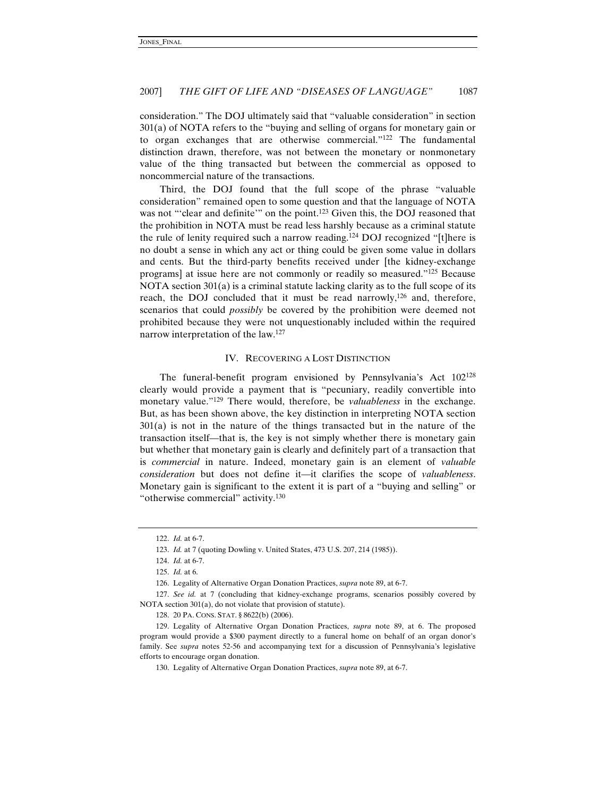consideration." The DOJ ultimately said that "valuable consideration" in section 301(a) of NOTA refers to the "buying and selling of organs for monetary gain or to organ exchanges that are otherwise commercial."122 The fundamental distinction drawn, therefore, was not between the monetary or nonmonetary value of the thing transacted but between the commercial as opposed to noncommercial nature of the transactions.

Third, the DOJ found that the full scope of the phrase "valuable consideration" remained open to some question and that the language of NOTA was not "'clear and definite'" on the point.<sup>123</sup> Given this, the DOJ reasoned that the prohibition in NOTA must be read less harshly because as a criminal statute the rule of lenity required such a narrow reading.124 DOJ recognized "[t]here is no doubt a sense in which any act or thing could be given some value in dollars and cents. But the third-party benefits received under [the kidney-exchange programs] at issue here are not commonly or readily so measured."125 Because NOTA section 301(a) is a criminal statute lacking clarity as to the full scope of its reach, the DOJ concluded that it must be read narrowly,<sup>126</sup> and, therefore, scenarios that could *possibly* be covered by the prohibition were deemed not prohibited because they were not unquestionably included within the required narrow interpretation of the law.127

#### IV. RECOVERING A LOST DISTINCTION

The funeral-benefit program envisioned by Pennsylvania's Act 102128 clearly would provide a payment that is "pecuniary, readily convertible into monetary value."129 There would, therefore, be *valuableness* in the exchange. But, as has been shown above, the key distinction in interpreting NOTA section 301(a) is not in the nature of the things transacted but in the nature of the transaction itself—that is, the key is not simply whether there is monetary gain but whether that monetary gain is clearly and definitely part of a transaction that is *commercial* in nature. Indeed, monetary gain is an element of *valuable consideration* but does not define it—it clarifies the scope of *valuableness*. Monetary gain is significant to the extent it is part of a "buying and selling" or "otherwise commercial" activity.<sup>130</sup>

<sup>122.</sup> *Id.* at 6-7.

<sup>123.</sup> *Id.* at 7 (quoting Dowling v. United States, 473 U.S. 207, 214 (1985)).

<sup>124.</sup> *Id.* at 6-7.

<sup>125.</sup> *Id.* at 6.

<sup>126.</sup> Legality of Alternative Organ Donation Practices, *supra* note 89, at 6-7.

<sup>127.</sup> *See id.* at 7 (concluding that kidney-exchange programs, scenarios possibly covered by NOTA section 301(a), do not violate that provision of statute).

<sup>128. 20</sup> PA. CONS. STAT. § 8622(b) (2006).

<sup>129.</sup> Legality of Alternative Organ Donation Practices, *supra* note 89, at 6. The proposed program would provide a \$300 payment directly to a funeral home on behalf of an organ donor's family. See *supra* notes 52-56 and accompanying text for a discussion of Pennsylvania's legislative efforts to encourage organ donation.

<sup>130.</sup> Legality of Alternative Organ Donation Practices, *supra* note 89, at 6-7.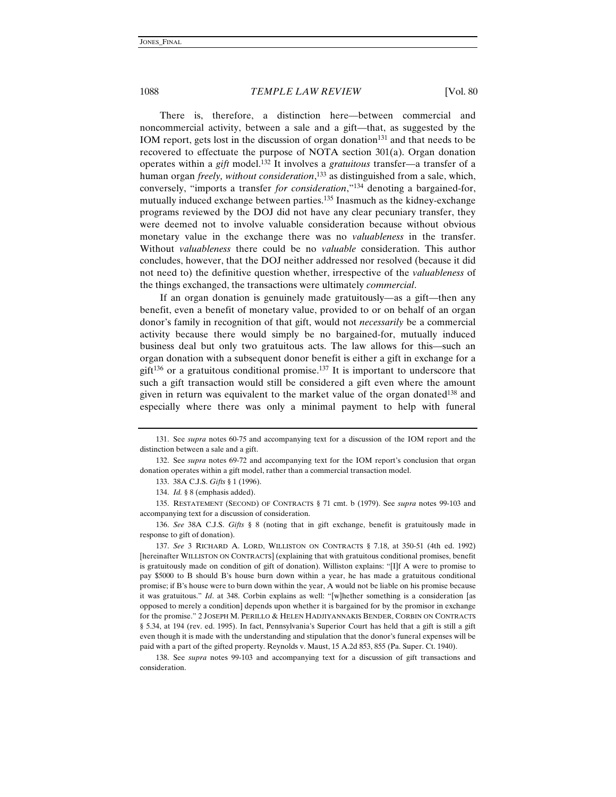There is, therefore, a distinction here—between commercial and noncommercial activity, between a sale and a gift—that, as suggested by the IOM report, gets lost in the discussion of organ donation<sup>131</sup> and that needs to be recovered to effectuate the purpose of NOTA section 301(a). Organ donation operates within a *gift* model.132 It involves a *gratuitous* transfer—a transfer of a human organ *freely, without consideration*, 133 as distinguished from a sale, which, conversely, "imports a transfer *for consideration*,"134 denoting a bargained-for, mutually induced exchange between parties.135 Inasmuch as the kidney-exchange programs reviewed by the DOJ did not have any clear pecuniary transfer, they were deemed not to involve valuable consideration because without obvious monetary value in the exchange there was no *valuableness* in the transfer. Without *valuableness* there could be no *valuable* consideration. This author concludes, however, that the DOJ neither addressed nor resolved (because it did not need to) the definitive question whether, irrespective of the *valuableness* of the things exchanged, the transactions were ultimately *commercial*.

If an organ donation is genuinely made gratuitously—as a gift—then any benefit, even a benefit of monetary value, provided to or on behalf of an organ donor's family in recognition of that gift, would not *necessarily* be a commercial activity because there would simply be no bargained-for, mutually induced business deal but only two gratuitous acts. The law allows for this—such an organ donation with a subsequent donor benefit is either a gift in exchange for a gift<sup>136</sup> or a gratuitous conditional promise.<sup>137</sup> It is important to underscore that such a gift transaction would still be considered a gift even where the amount given in return was equivalent to the market value of the organ donated138 and especially where there was only a minimal payment to help with funeral

135. RESTATEMENT (SECOND) OF CONTRACTS § 71 cmt. b (1979). See *supra* notes 99-103 and accompanying text for a discussion of consideration.

136. *See* 38A C.J.S. *Gifts* § 8 (noting that in gift exchange, benefit is gratuitously made in response to gift of donation).

137. *See* 3 RICHARD A. LORD, WILLISTON ON CONTRACTS § 7.18, at 350-51 (4th ed. 1992) [hereinafter WILLISTON ON CONTRACTS] (explaining that with gratuitous conditional promises, benefit is gratuitously made on condition of gift of donation). Williston explains: "[I]f A were to promise to pay \$5000 to B should B's house burn down within a year, he has made a gratuitous conditional promise; if B's house were to burn down within the year, A would not be liable on his promise because it was gratuitous." *Id*. at 348. Corbin explains as well: "[w]hether something is a consideration [as opposed to merely a condition] depends upon whether it is bargained for by the promisor in exchange for the promise." 2 JOSEPH M. PERILLO & HELEN HADJIYANNAKIS BENDER, CORBIN ON CONTRACTS § 5.34, at 194 (rev. ed. 1995). In fact, Pennsylvania's Superior Court has held that a gift is still a gift even though it is made with the understanding and stipulation that the donor's funeral expenses will be paid with a part of the gifted property. Reynolds v. Maust, 15 A.2d 853, 855 (Pa. Super. Ct. 1940).

138. See *supra* notes 99-103 and accompanying text for a discussion of gift transactions and consideration.

<sup>131.</sup> See *supra* notes 60-75 and accompanying text for a discussion of the IOM report and the distinction between a sale and a gift.

<sup>132.</sup> See *supra* notes 69-72 and accompanying text for the IOM report's conclusion that organ donation operates within a gift model, rather than a commercial transaction model.

<sup>133. 38</sup>A C.J.S. *Gifts* § 1 (1996).

<sup>134.</sup> *Id.* § 8 (emphasis added).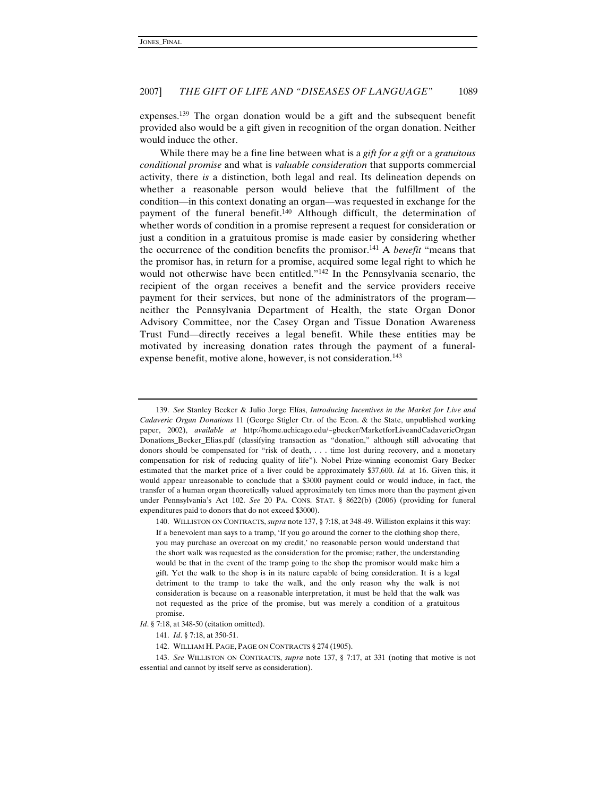expenses.139 The organ donation would be a gift and the subsequent benefit provided also would be a gift given in recognition of the organ donation. Neither would induce the other.

While there may be a fine line between what is a *gift for a gift* or a *gratuitous conditional promise* and what is *valuable consideration* that supports commercial activity, there *is* a distinction, both legal and real. Its delineation depends on whether a reasonable person would believe that the fulfillment of the condition—in this context donating an organ—was requested in exchange for the payment of the funeral benefit.140 Although difficult, the determination of whether words of condition in a promise represent a request for consideration or just a condition in a gratuitous promise is made easier by considering whether the occurrence of the condition benefits the promisor.141 A *benefit* "means that the promisor has, in return for a promise, acquired some legal right to which he would not otherwise have been entitled."142 In the Pennsylvania scenario, the recipient of the organ receives a benefit and the service providers receive payment for their services, but none of the administrators of the program neither the Pennsylvania Department of Health, the state Organ Donor Advisory Committee, nor the Casey Organ and Tissue Donation Awareness Trust Fund—directly receives a legal benefit. While these entities may be motivated by increasing donation rates through the payment of a funeralexpense benefit, motive alone, however, is not consideration.<sup>143</sup>

<sup>139.</sup> *See* Stanley Becker & Julio Jorge Elías, *Introducing Incentives in the Market for Live and Cadaveric Organ Donations* 11 (George Stigler Ctr. of the Econ. & the State, unpublished working paper, 2002), *available at* http://home.uchicago.edu/~gbecker/MarketforLiveandCadavericOrgan Donations\_Becker\_Elias.pdf (classifying transaction as "donation," although still advocating that donors should be compensated for "risk of death, . . . time lost during recovery, and a monetary compensation for risk of reducing quality of life"). Nobel Prize-winning economist Gary Becker estimated that the market price of a liver could be approximately \$37,600. *Id.* at 16. Given this, it would appear unreasonable to conclude that a \$3000 payment could or would induce, in fact, the transfer of a human organ theoretically valued approximately ten times more than the payment given under Pennsylvania's Act 102. *See* 20 PA. CONS. STAT. § 8622(b) (2006) (providing for funeral expenditures paid to donors that do not exceed \$3000).

<sup>140.</sup> WILLISTON ON CONTRACTS, *supra* note 137, § 7:18, at 348-49. Williston explains it this way: If a benevolent man says to a tramp, 'If you go around the corner to the clothing shop there, you may purchase an overcoat on my credit,' no reasonable person would understand that the short walk was requested as the consideration for the promise; rather, the understanding would be that in the event of the tramp going to the shop the promisor would make him a gift. Yet the walk to the shop is in its nature capable of being consideration. It is a legal detriment to the tramp to take the walk, and the only reason why the walk is not consideration is because on a reasonable interpretation, it must be held that the walk was not requested as the price of the promise, but was merely a condition of a gratuitous promise.

*Id*. § 7:18, at 348-50 (citation omitted).

<sup>141.</sup> *Id*. § 7:18, at 350-51.

<sup>142.</sup> WILLIAM H. PAGE, PAGE ON CONTRACTS § 274 (1905).

<sup>143.</sup> *See* WILLISTON ON CONTRACTS, *supra* note 137, § 7:17, at 331 (noting that motive is not essential and cannot by itself serve as consideration).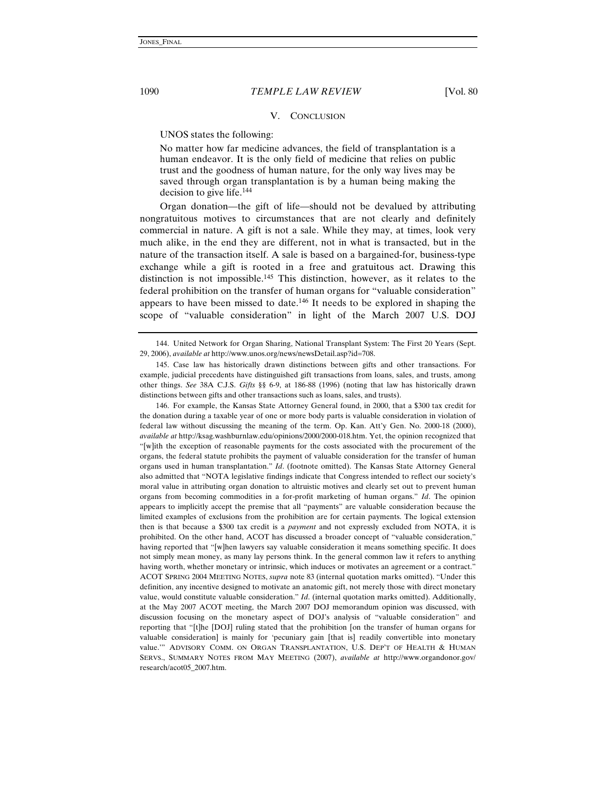#### V. CONCLUSION

UNOS states the following:

No matter how far medicine advances, the field of transplantation is a human endeavor. It is the only field of medicine that relies on public trust and the goodness of human nature, for the only way lives may be saved through organ transplantation is by a human being making the decision to give life.144

Organ donation—the gift of life—should not be devalued by attributing nongratuitous motives to circumstances that are not clearly and definitely commercial in nature. A gift is not a sale. While they may, at times, look very much alike, in the end they are different, not in what is transacted, but in the nature of the transaction itself. A sale is based on a bargained-for, business-type exchange while a gift is rooted in a free and gratuitous act. Drawing this distinction is not impossible.145 This distinction, however, as it relates to the federal prohibition on the transfer of human organs for "valuable consideration" appears to have been missed to date.<sup>146</sup> It needs to be explored in shaping the scope of "valuable consideration" in light of the March 2007 U.S. DOJ

146. For example, the Kansas State Attorney General found, in 2000, that a \$300 tax credit for the donation during a taxable year of one or more body parts is valuable consideration in violation of federal law without discussing the meaning of the term. Op. Kan. Att'y Gen. No. 2000-18 (2000), *available at* http://ksag.washburnlaw.edu/opinions/2000/2000-018.htm. Yet, the opinion recognized that "[w]ith the exception of reasonable payments for the costs associated with the procurement of the organs, the federal statute prohibits the payment of valuable consideration for the transfer of human organs used in human transplantation." *Id*. (footnote omitted). The Kansas State Attorney General also admitted that "NOTA legislative findings indicate that Congress intended to reflect our society's moral value in attributing organ donation to altruistic motives and clearly set out to prevent human organs from becoming commodities in a for-profit marketing of human organs." *Id*. The opinion appears to implicitly accept the premise that all "payments" are valuable consideration because the limited examples of exclusions from the prohibition are for certain payments. The logical extension then is that because a \$300 tax credit is a *payment* and not expressly excluded from NOTA, it is prohibited. On the other hand, ACOT has discussed a broader concept of "valuable consideration," having reported that "[w]hen lawyers say valuable consideration it means something specific. It does not simply mean money, as many lay persons think. In the general common law it refers to anything having worth, whether monetary or intrinsic, which induces or motivates an agreement or a contract." ACOT SPRING 2004 MEETING NOTES, *supra* note 83 (internal quotation marks omitted). "Under this definition, any incentive designed to motivate an anatomic gift, not merely those with direct monetary value, would constitute valuable consideration." *Id*. (internal quotation marks omitted). Additionally, at the May 2007 ACOT meeting, the March 2007 DOJ memorandum opinion was discussed, with discussion focusing on the monetary aspect of DOJ's analysis of "valuable consideration" and reporting that "[t]he [DOJ] ruling stated that the prohibition [on the transfer of human organs for valuable consideration] is mainly for 'pecuniary gain [that is] readily convertible into monetary value.'" ADVISORY COMM. ON ORGAN TRANSPLANTATION, U.S. DEP'T OF HEALTH & HUMAN SERVS., SUMMARY NOTES FROM MAY MEETING (2007), *available at* http://www.organdonor.gov/ research/acot05\_2007.htm.

<sup>144.</sup> United Network for Organ Sharing, National Transplant System: The First 20 Years (Sept. 29, 2006), *available at* http://www.unos.org/news/newsDetail.asp?id=708.

<sup>145.</sup> Case law has historically drawn distinctions between gifts and other transactions. For example, judicial precedents have distinguished gift transactions from loans, sales, and trusts, among other things. *See* 38A C.J.S. *Gifts* §§ 6-9, at 186-88 (1996) (noting that law has historically drawn distinctions between gifts and other transactions such as loans, sales, and trusts).